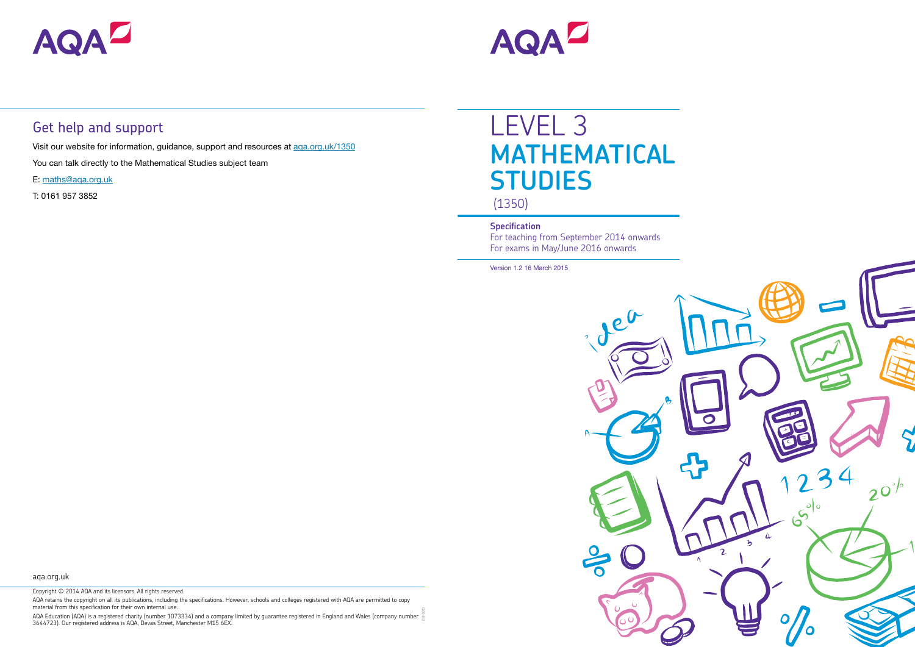

# LEVEL 3 **MATHEMATICAL STUDIES** (1350)

### **Specification**

For teaching from September 2014 onwards For exams in May/June 2016 onwards

Version 1.2 16 March 2015

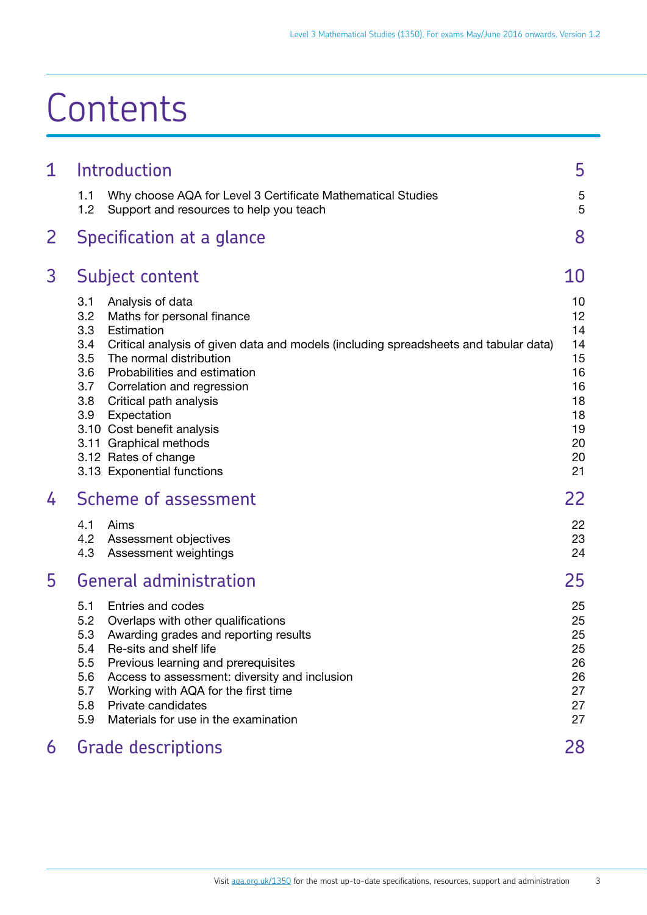# **Contents**

| Introduction                                                                                                                                                                                                                                                                                                                                                                                                                                                        | 5                                                                          |
|---------------------------------------------------------------------------------------------------------------------------------------------------------------------------------------------------------------------------------------------------------------------------------------------------------------------------------------------------------------------------------------------------------------------------------------------------------------------|----------------------------------------------------------------------------|
| 1.1<br>Why choose AQA for Level 3 Certificate Mathematical Studies<br>1.2<br>Support and resources to help you teach                                                                                                                                                                                                                                                                                                                                                | 5<br>5                                                                     |
| Specification at a glance                                                                                                                                                                                                                                                                                                                                                                                                                                           | 8                                                                          |
| Subject content                                                                                                                                                                                                                                                                                                                                                                                                                                                     | 10                                                                         |
| 3.1<br>Analysis of data<br>3.2<br>Maths for personal finance<br>3.3<br>Estimation<br>3.4<br>Critical analysis of given data and models (including spreadsheets and tabular data)<br>3.5<br>The normal distribution<br>3.6<br>Probabilities and estimation<br>3.7<br>Correlation and regression<br>3.8<br>Critical path analysis<br>3.9<br>Expectation<br>3.10 Cost benefit analysis<br>3.11 Graphical methods<br>3.12 Rates of change<br>3.13 Exponential functions | 10<br>12<br>14<br>14<br>15<br>16<br>16<br>18<br>18<br>19<br>20<br>20<br>21 |
| Scheme of assessment                                                                                                                                                                                                                                                                                                                                                                                                                                                | 22                                                                         |
| 4.1<br>Aims<br>4.2<br>Assessment objectives<br>4.3<br>Assessment weightings                                                                                                                                                                                                                                                                                                                                                                                         | 22<br>23<br>24                                                             |
| <b>General administration</b>                                                                                                                                                                                                                                                                                                                                                                                                                                       | 25                                                                         |
| 5.1<br>Entries and codes<br>5.2<br>Overlaps with other qualifications<br>5.3<br>Awarding grades and reporting results<br>Re-sits and shelf life<br>5.4<br>5.5<br>Previous learning and prerequisites<br>5.6<br>Access to assessment: diversity and inclusion<br>5.7<br>Working with AQA for the first time<br>5.8<br>Private candidates<br>5.9<br>Materials for use in the examination                                                                              | 25<br>25<br>25<br>25<br>26<br>26<br>27<br>27<br>27                         |
| <b>Grade descriptions</b>                                                                                                                                                                                                                                                                                                                                                                                                                                           | 28                                                                         |
|                                                                                                                                                                                                                                                                                                                                                                                                                                                                     |                                                                            |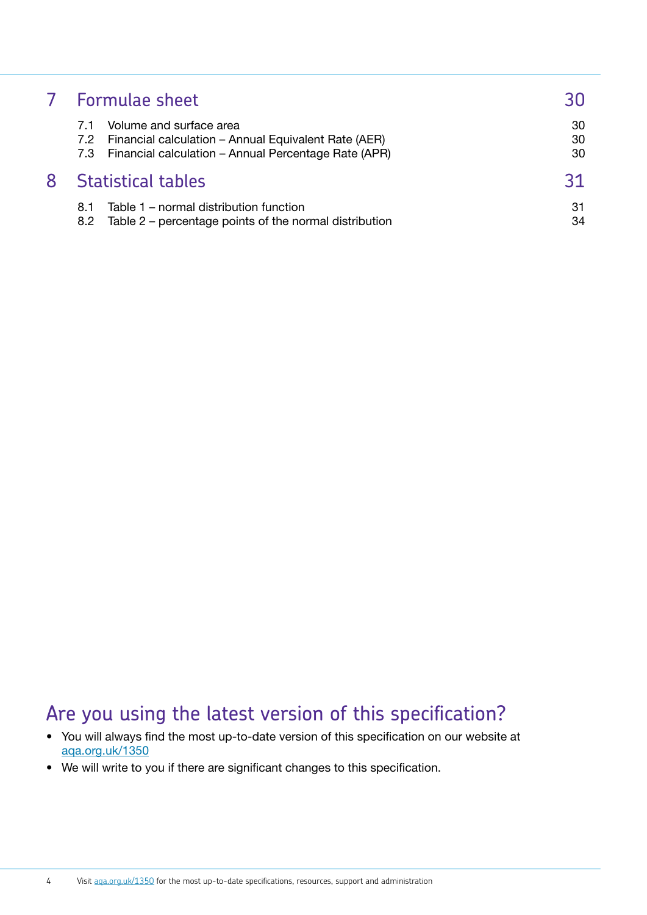|   | 7 Formulae sheet                                                                                                                                | 30             |
|---|-------------------------------------------------------------------------------------------------------------------------------------------------|----------------|
|   | Volume and surface area<br>7.2 Financial calculation – Annual Equivalent Rate (AER)<br>7.3 Financial calculation - Annual Percentage Rate (APR) | 30<br>30<br>30 |
| 8 | <b>Statistical tables</b>                                                                                                                       | 31             |
|   | Table 1 – normal distribution function<br>8.1<br>Table 2 – percentage points of the normal distribution<br>8.2                                  | 31<br>34       |

### Are you using the latest version of this specification?

- You will always find the most up-to-date version of this specification on our website at [aqa.org.uk/1350](http://aqa.org.uk/1350)
- We will write to you if there are significant changes to this specification.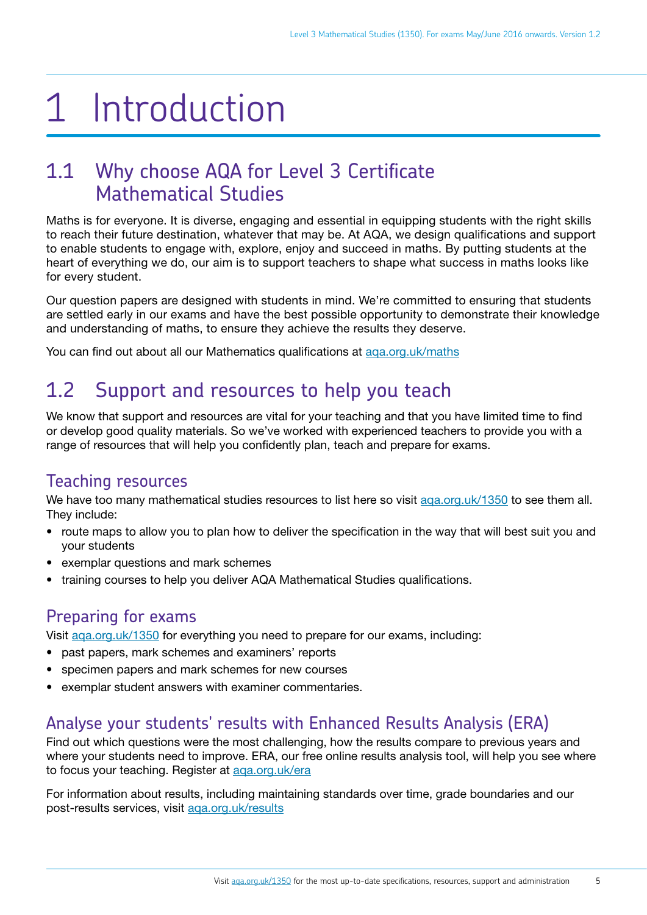# <span id="page-3-0"></span>1 Introduction

### 1.1 Why choose AQA for Level 3 Certificate Mathematical Studies

Maths is for everyone. It is diverse, engaging and essential in equipping students with the right skills to reach their future destination, whatever that may be. At AQA, we design qualifications and support to enable students to engage with, explore, enjoy and succeed in maths. By putting students at the heart of everything we do, our aim is to support teachers to shape what success in maths looks like for every student.

Our question papers are designed with students in mind. We're committed to ensuring that students are settled early in our exams and have the best possible opportunity to demonstrate their knowledge and understanding of maths, to ensure they achieve the results they deserve.

You can find out about all our Mathematics qualifications at [aqa.org.uk/maths](http://aqa.org.uk/maths)

## 1.2 Support and resources to help you teach

We know that support and resources are vital for your teaching and that you have limited time to find or develop good quality materials. So we've worked with experienced teachers to provide you with a range of resources that will help you confidently plan, teach and prepare for exams.

### Teaching resources

We have too many mathematical studies resources to list here so visit aga.org.uk/1350 to see them all. They include:

- route maps to allow you to plan how to deliver the specification in the way that will best suit you and your students
- exemplar questions and mark schemes
- training courses to help you deliver AQA Mathematical Studies qualifications.

### Preparing for exams

Visit [aqa.org.uk/1350](http://www.aqa.org.uk/1350) for everything you need to prepare for our exams, including:

- past papers, mark schemes and examiners' reports
- specimen papers and mark schemes for new courses
- exemplar student answers with examiner commentaries.

### Analyse your students' results with Enhanced Results Analysis (ERA)

Find out which questions were the most challenging, how the results compare to previous years and where your students need to improve. ERA, our free online results analysis tool, will help you see where to focus your teaching. Register at [aqa.org.uk/era](http://www.aqa.org.uk/era)

For information about results, including maintaining standards over time, grade boundaries and our post-results services, visit [aqa.org.uk/results](http://www.aqa.org.uk/results)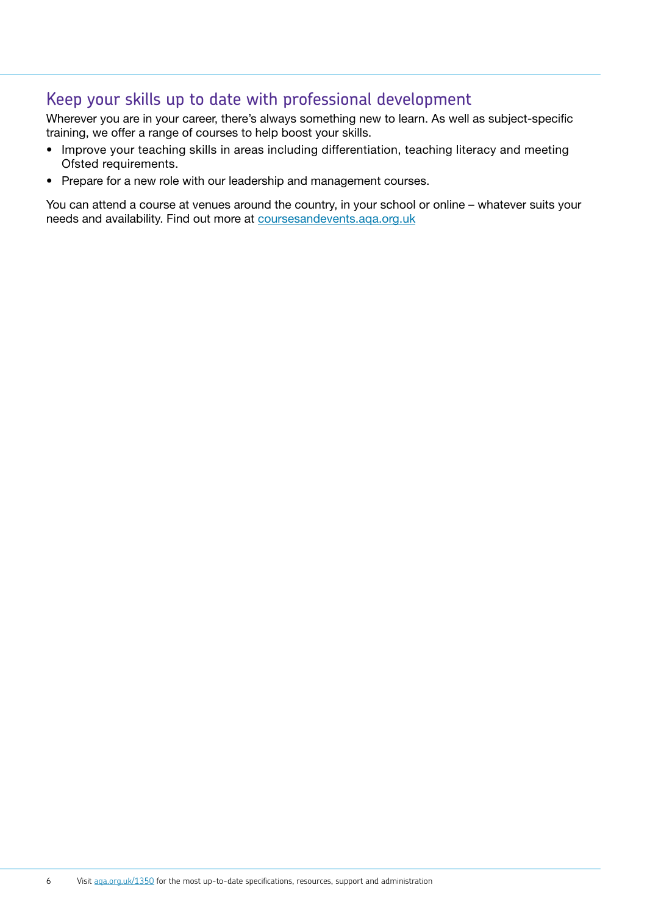#### Keep your skills up to date with professional development

Wherever you are in your career, there's always something new to learn. As well as subject-specific training, we offer a range of courses to help boost your skills.

- Improve your teaching skills in areas including differentiation, teaching literacy and meeting Ofsted requirements.
- Prepare for a new role with our leadership and management courses.

You can attend a course at venues around the country, in your school or online – whatever suits your needs and availability. Find out more at [coursesandevents.aqa.org.uk](http://coursesandevents.aqa.org.uk/)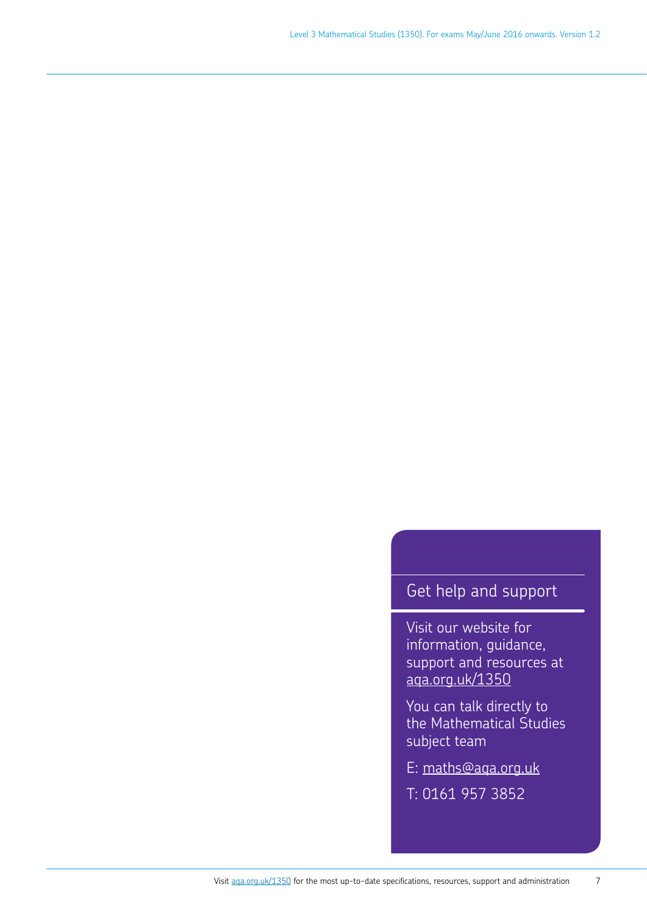### Get help and support

Visit our website for information, guidance, support and resources at <aqa.org.uk/1350>

You can talk directly to the Mathematical Studies subject team

E: [maths@aqa.org.uk](mailto:maths%40aqa.org.uk?subject=)

T: 0161 957 3852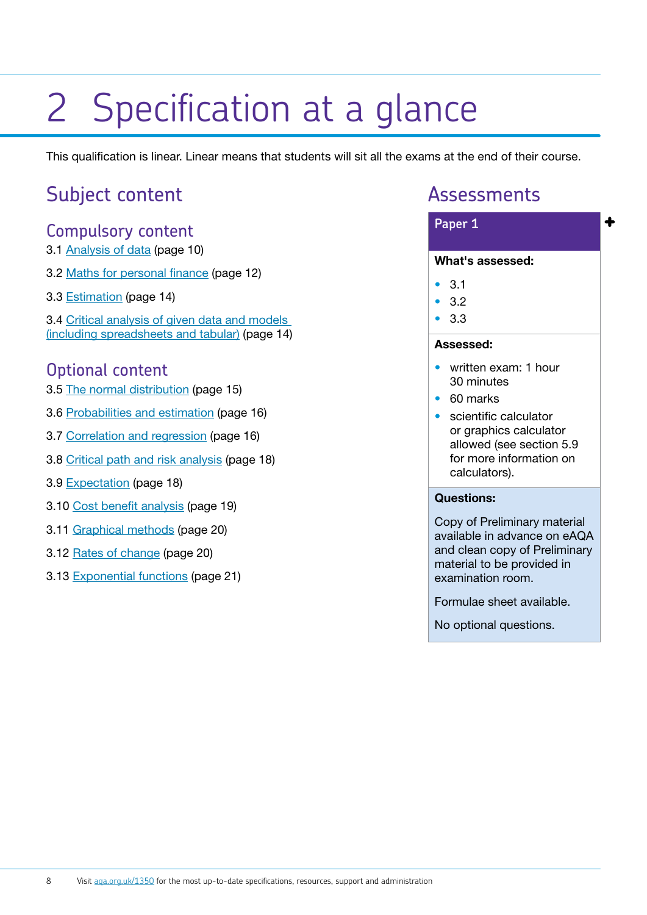# <span id="page-6-0"></span>2 Specification at a glance

This qualification is linear. Linear means that students will sit all the exams at the end of their course.

### Subject content

#### Compulsory content

- 3.1 [Analysis of data](#page-8-1) (page 10)
- 3.2 [Maths for personal finance](#page-10-1) (page 12)
- 3.3 [Estimation](#page-12-1) (page 14)

3.4 [Critical analysis of given data and models](#page-12-2) (including spreadsheets and tabular) (page 14)

#### Optional content

- 3.5 [The normal distribution](#page-13-1) (page 15)
- 3.6 [Probabilities and estimation](#page-14-1) (page 16)
- 3.7 [Correlation and regression](#page-14-2) (page 16)
- 3.8 [Critical path and risk analysis](#page-16-1) (page 18)
- 3.9 [Expectation](#page-16-2) (page 18)
- 3.10 [Cost benefit analysis](#page-17-1) (page 19)
- 3.11 [Graphical methods](#page-18-1) (page 20)
- 3.12 [Rates of change](#page-18-2) (page 20)
- 3.13 [Exponential functions](#page-19-1) (page 21)

### Assessments

#### **+ Paper 1** What's assessed:

- 3.1
- 3.2
- 3.3

#### Assessed:

- written exam: 1 hour 30 minutes
- 60 marks
- scientific calculator or graphics calculator allowed (see section 5.9 for more information on calculators).

#### Questions:

Copy of Preliminary material available in advance on eAQA and clean copy of Preliminary material to be provided in examination room.

Formulae sheet available.

No optional questions.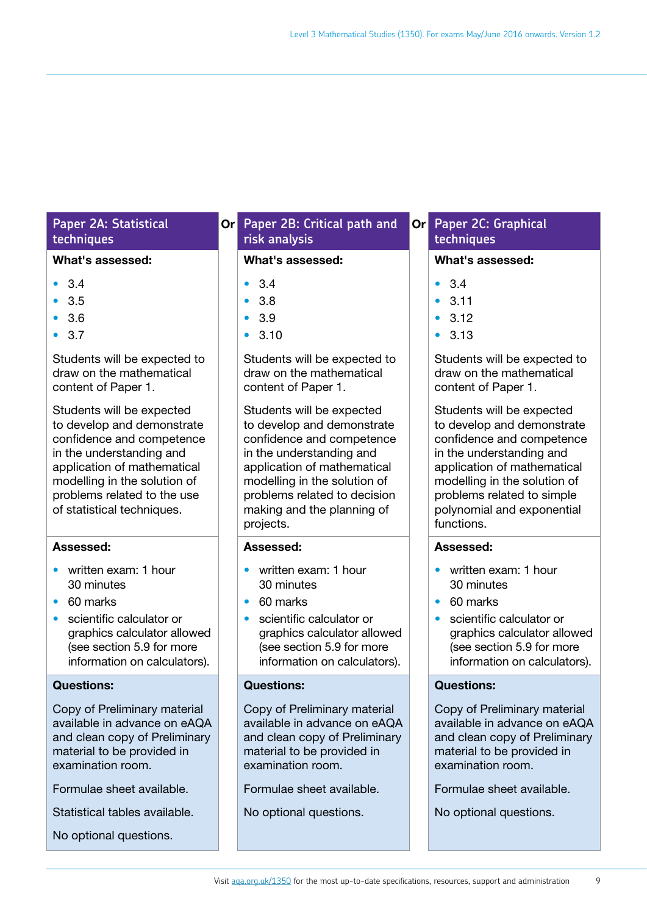#### **Paper 2A: Statistical techniques**

#### What's assessed:

- 3.4
- 3.5
- 3.6
- 3.7

Students will be expected to draw on the mathematical content of Paper 1.

Students will be expected to develop and demonstrate confidence and competence in the understanding and application of mathematical modelling in the solution of problems related to the use of statistical techniques.

#### Assessed:

- written exam: 1 hour 30 minutes
- 60 marks
- scientific calculator or graphics calculator allowed (see section 5.9 for more information on calculators).

#### Questions:

Copy of Preliminary material available in advance on eAQA and clean copy of Preliminary material to be provided in examination room.

Formulae sheet available.

Statistical tables available.

No optional questions.

#### **Or** Paper 2B: Critical path and Or **risk analysis**

#### What's assessed:

- 3.4
- 3.8
- 3.9
- 3.10

Students will be expected to draw on the mathematical content of Paper 1.

Students will be expected to develop and demonstrate confidence and competence in the understanding and application of mathematical modelling in the solution of problems related to decision making and the planning of projects.

#### Assessed:

- written exam: 1 hour 30 minutes
- 60 marks
- scientific calculator or graphics calculator allowed (see section 5.9 for more information on calculators).

#### Questions:

Copy of Preliminary material available in advance on eAQA and clean copy of Preliminary material to be provided in examination room.

Formulae sheet available.

No optional questions.

#### **Paper 2C: Graphical techniques**

#### What's assessed:

- $34$
- 3.11
- $3.12$
- 3.13

Students will be expected to draw on the mathematical content of Paper 1.

Students will be expected to develop and demonstrate confidence and competence in the understanding and application of mathematical modelling in the solution of problems related to simple polynomial and exponential functions.

#### Assessed:

- written exam: 1 hour 30 minutes
- 60 marks
- scientific calculator or graphics calculator allowed (see section 5.9 for more information on calculators).

#### Questions:

Copy of Preliminary material available in advance on eAQA and clean copy of Preliminary material to be provided in examination room.

Formulae sheet available.

No optional questions.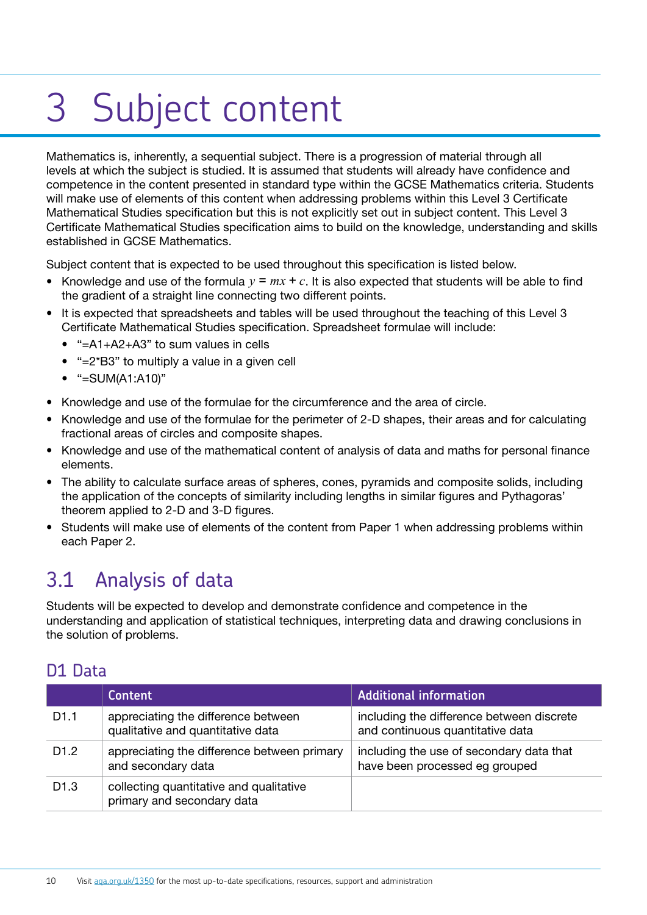# <span id="page-8-0"></span>3 Subject content

Mathematics is, inherently, a sequential subject. There is a progression of material through all levels at which the subject is studied. It is assumed that students will already have confidence and competence in the content presented in standard type within the GCSE Mathematics criteria. Students will make use of elements of this content when addressing problems within this Level 3 Certificate Mathematical Studies specification but this is not explicitly set out in subject content. This Level 3 Certificate Mathematical Studies specification aims to build on the knowledge, understanding and skills established in GCSE Mathematics.

Subject content that is expected to be used throughout this specification is listed below.

- Knowledge and use of the formula  $y = mx + c$ . It is also expected that students will be able to find the gradient of a straight line connecting two different points.
- It is expected that spreadsheets and tables will be used throughout the teaching of this Level 3 Certificate Mathematical Studies specification. Spreadsheet formulae will include:
	- "=A1+A2+A3" to sum values in cells
	- "=2\*B3" to multiply a value in a given cell
	- "=SUM(A1:A10)"
- Knowledge and use of the formulae for the circumference and the area of circle.
- Knowledge and use of the formulae for the perimeter of 2-D shapes, their areas and for calculating fractional areas of circles and composite shapes.
- Knowledge and use of the mathematical content of analysis of data and maths for personal finance elements.
- The ability to calculate surface areas of spheres, cones, pyramids and composite solids, including the application of the concepts of similarity including lengths in similar figures and Pythagoras' theorem applied to 2-D and 3-D figures.
- Students will make use of elements of the content from Paper 1 when addressing problems within each Paper 2.

### <span id="page-8-1"></span>3.1 Analysis of data

Students will be expected to develop and demonstrate confidence and competence in the understanding and application of statistical techniques, interpreting data and drawing conclusions in the solution of problems.

#### D1 Data

|                  | <b>Content</b>                                                           | <b>Additional information</b>                                                 |
|------------------|--------------------------------------------------------------------------|-------------------------------------------------------------------------------|
| D <sub>1.1</sub> | appreciating the difference between<br>qualitative and quantitative data | including the difference between discrete<br>and continuous quantitative data |
| D <sub>1.2</sub> | appreciating the difference between primary<br>and secondary data        | including the use of secondary data that<br>have been processed eg grouped    |
| D <sub>1.3</sub> | collecting quantitative and qualitative<br>primary and secondary data    |                                                                               |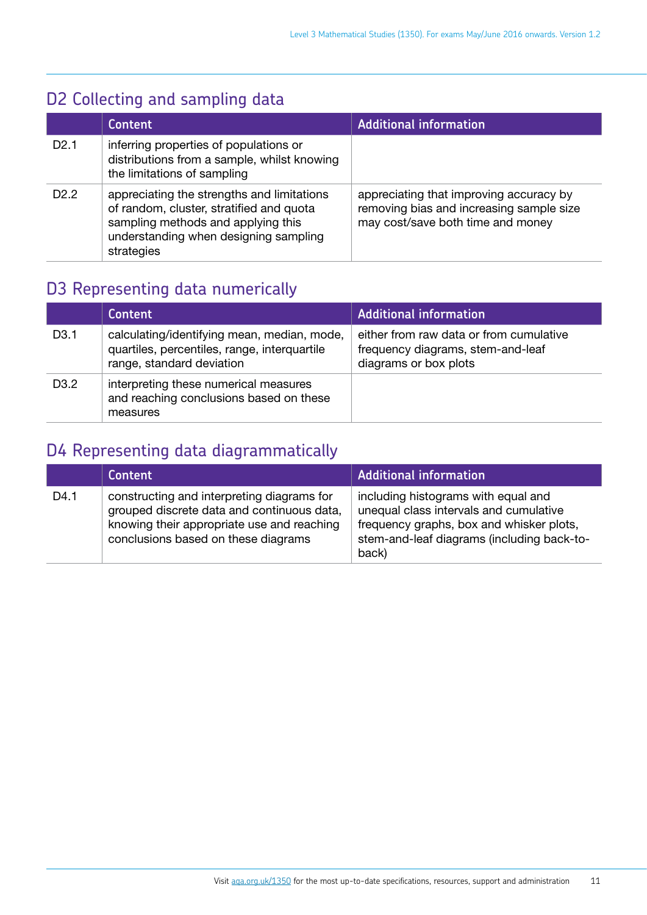### D2 Collecting and sampling data

|                  | <b>Content</b>                                                                                                                                                                      | <b>Additional information</b>                                                                                            |
|------------------|-------------------------------------------------------------------------------------------------------------------------------------------------------------------------------------|--------------------------------------------------------------------------------------------------------------------------|
| D2.1             | inferring properties of populations or<br>distributions from a sample, whilst knowing<br>the limitations of sampling                                                                |                                                                                                                          |
| D <sub>2.2</sub> | appreciating the strengths and limitations<br>of random, cluster, stratified and quota<br>sampling methods and applying this<br>understanding when designing sampling<br>strategies | appreciating that improving accuracy by<br>removing bias and increasing sample size<br>may cost/save both time and money |

### D3 Representing data numerically

|                   | <b>Content</b>                                                                                                           | <b>Additional information</b>                                                                         |
|-------------------|--------------------------------------------------------------------------------------------------------------------------|-------------------------------------------------------------------------------------------------------|
| D <sub>3</sub> .1 | calculating/identifying mean, median, mode,<br>quartiles, percentiles, range, interquartile<br>range, standard deviation | either from raw data or from cumulative<br>frequency diagrams, stem-and-leaf<br>diagrams or box plots |
| D <sub>3</sub> .2 | interpreting these numerical measures<br>and reaching conclusions based on these<br>measures                             |                                                                                                       |

### D4 Representing data diagrammatically

|      | <b>Content</b>                                                                                                                                                                | <b>Additional information</b>                                                                                                                                                    |
|------|-------------------------------------------------------------------------------------------------------------------------------------------------------------------------------|----------------------------------------------------------------------------------------------------------------------------------------------------------------------------------|
| D4.1 | constructing and interpreting diagrams for<br>grouped discrete data and continuous data,<br>knowing their appropriate use and reaching<br>conclusions based on these diagrams | including histograms with equal and<br>unequal class intervals and cumulative<br>frequency graphs, box and whisker plots,<br>stem-and-leaf diagrams (including back-to-<br>back) |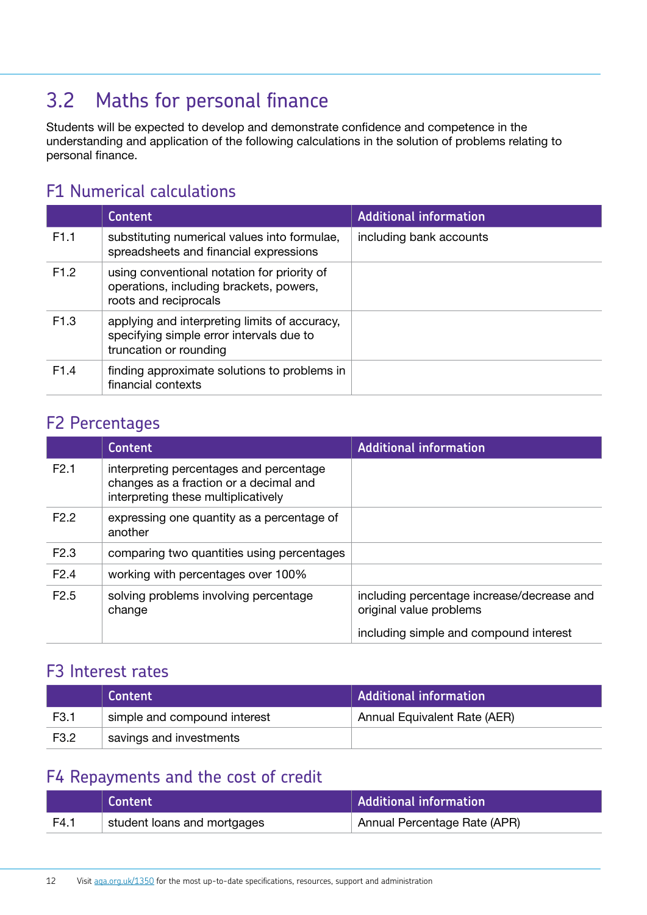### <span id="page-10-1"></span><span id="page-10-0"></span>3.2 Maths for personal finance

Students will be expected to develop and demonstrate confidence and competence in the understanding and application of the following calculations in the solution of problems relating to personal finance.

### F1 Numerical calculations

|                  | <b>Content</b>                                                                                                      | <b>Additional information</b> |
|------------------|---------------------------------------------------------------------------------------------------------------------|-------------------------------|
| F <sub>1.1</sub> | substituting numerical values into formulae,<br>spreadsheets and financial expressions                              | including bank accounts       |
| F1.2             | using conventional notation for priority of<br>operations, including brackets, powers,<br>roots and reciprocals     |                               |
| F <sub>1.3</sub> | applying and interpreting limits of accuracy,<br>specifying simple error intervals due to<br>truncation or rounding |                               |
| F <sub>1.4</sub> | finding approximate solutions to problems in<br>financial contexts                                                  |                               |

#### F2 Percentages

|                  | <b>Content</b>                                                                                                           | <b>Additional information</b>                                         |
|------------------|--------------------------------------------------------------------------------------------------------------------------|-----------------------------------------------------------------------|
| F2.1             | interpreting percentages and percentage<br>changes as a fraction or a decimal and<br>interpreting these multiplicatively |                                                                       |
| F <sub>2.2</sub> | expressing one quantity as a percentage of<br>another                                                                    |                                                                       |
| F <sub>2.3</sub> | comparing two quantities using percentages                                                                               |                                                                       |
| F2.4             | working with percentages over 100%                                                                                       |                                                                       |
| F <sub>2.5</sub> | solving problems involving percentage<br>change                                                                          | including percentage increase/decrease and<br>original value problems |
|                  |                                                                                                                          | including simple and compound interest                                |

### F3 Interest rates

|      | Content                      | <b>Additional information</b> |
|------|------------------------------|-------------------------------|
| F3.1 | simple and compound interest | Annual Equivalent Rate (AER)  |
| F3.2 | savings and investments      |                               |

### F4 Repayments and the cost of credit

|      | Content                     | <b>Additional information</b> |
|------|-----------------------------|-------------------------------|
| F4.1 | student loans and mortgages | Annual Percentage Rate (APR)  |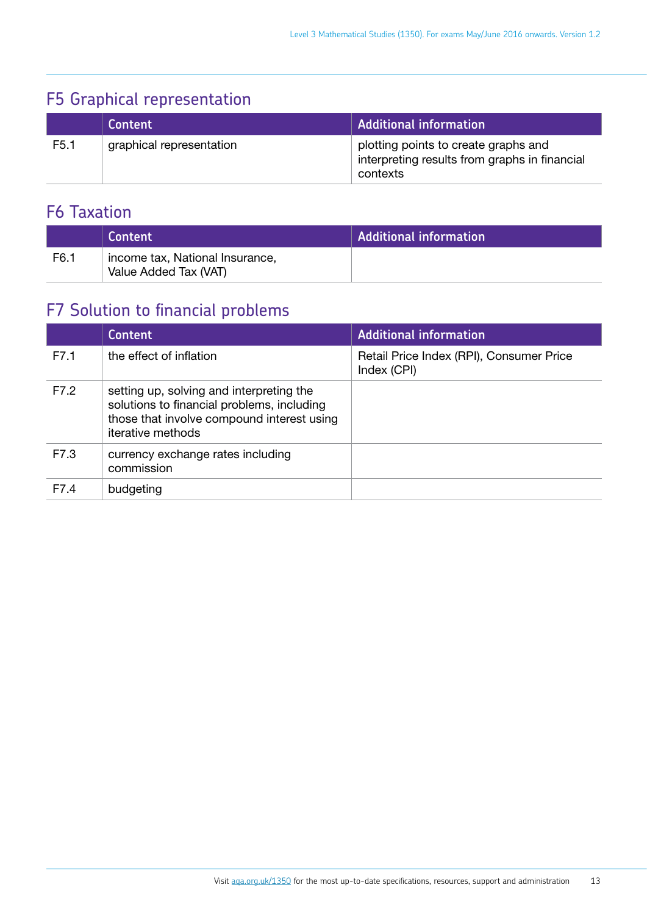### F5 Graphical representation

|                  | Content                  | <b>Additional information</b>                                                                     |
|------------------|--------------------------|---------------------------------------------------------------------------------------------------|
| F <sub>5.1</sub> | graphical representation | plotting points to create graphs and<br>interpreting results from graphs in financial<br>contexts |

### F6 Taxation

|      | Content                                                  | <b>Additional information</b> |
|------|----------------------------------------------------------|-------------------------------|
| F6.1 | income tax, National Insurance,<br>Value Added Tax (VAT) |                               |

### F7 Solution to financial problems

|      | <b>Content</b>                                                                                                                                                   | <b>Additional information</b>                           |
|------|------------------------------------------------------------------------------------------------------------------------------------------------------------------|---------------------------------------------------------|
| F7.1 | the effect of inflation                                                                                                                                          | Retail Price Index (RPI), Consumer Price<br>Index (CPI) |
| F7.2 | setting up, solving and interpreting the<br>solutions to financial problems, including<br>those that involve compound interest using<br><i>iterative</i> methods |                                                         |
| F7.3 | currency exchange rates including<br>commission                                                                                                                  |                                                         |
| F7.4 | budgeting                                                                                                                                                        |                                                         |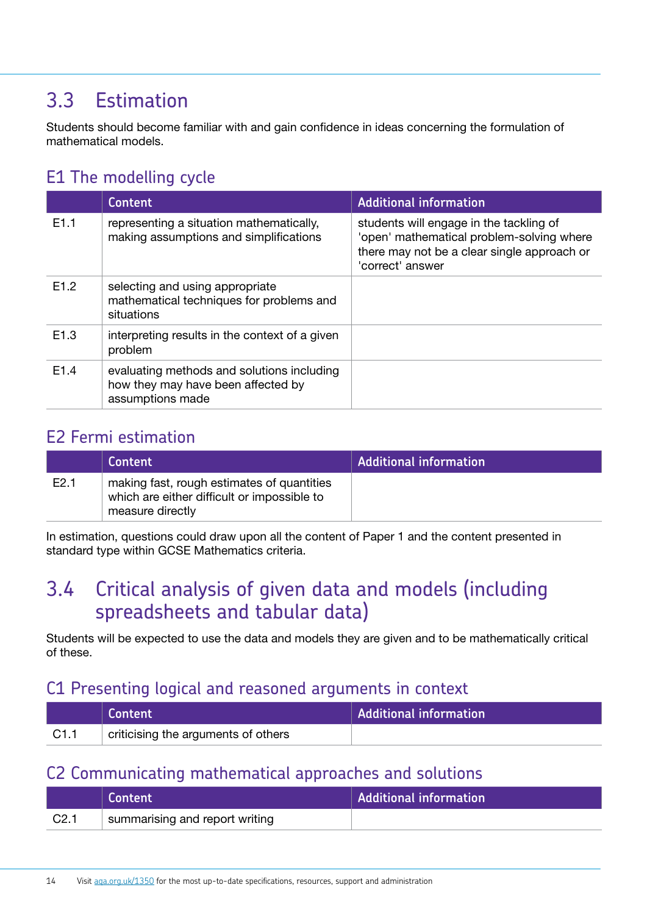### <span id="page-12-1"></span><span id="page-12-0"></span>3.3 Estimation

Students should become familiar with and gain confidence in ideas concerning the formulation of mathematical models.

### E1 The modelling cycle

|                  | Content                                                                                              | <b>Additional information</b>                                                                                                                           |
|------------------|------------------------------------------------------------------------------------------------------|---------------------------------------------------------------------------------------------------------------------------------------------------------|
| E1.1             | representing a situation mathematically,<br>making assumptions and simplifications                   | students will engage in the tackling of<br>'open' mathematical problem-solving where<br>there may not be a clear single approach or<br>'correct' answer |
| E1.2             | selecting and using appropriate<br>mathematical techniques for problems and<br>situations            |                                                                                                                                                         |
| E <sub>1.3</sub> | interpreting results in the context of a given<br>problem                                            |                                                                                                                                                         |
| E <sub>1.4</sub> | evaluating methods and solutions including<br>how they may have been affected by<br>assumptions made |                                                                                                                                                         |

### E2 Fermi estimation

|      | Content                                                                                                       | <b>Additional information</b> |
|------|---------------------------------------------------------------------------------------------------------------|-------------------------------|
| E2.1 | making fast, rough estimates of quantities<br>which are either difficult or impossible to<br>measure directly |                               |

In estimation, questions could draw upon all the content of Paper 1 and the content presented in standard type within GCSE Mathematics criteria.

### <span id="page-12-2"></span>3.4 Critical analysis of given data and models (including spreadsheets and tabular data)

Students will be expected to use the data and models they are given and to be mathematically critical of these.

#### C1 Presenting logical and reasoned arguments in context

|      | Content                             | Additional information |
|------|-------------------------------------|------------------------|
| C1.1 | criticising the arguments of others |                        |

### C2 Communicating mathematical approaches and solutions

|                  | Content                        | Additional information |
|------------------|--------------------------------|------------------------|
| C <sub>2.1</sub> | summarising and report writing |                        |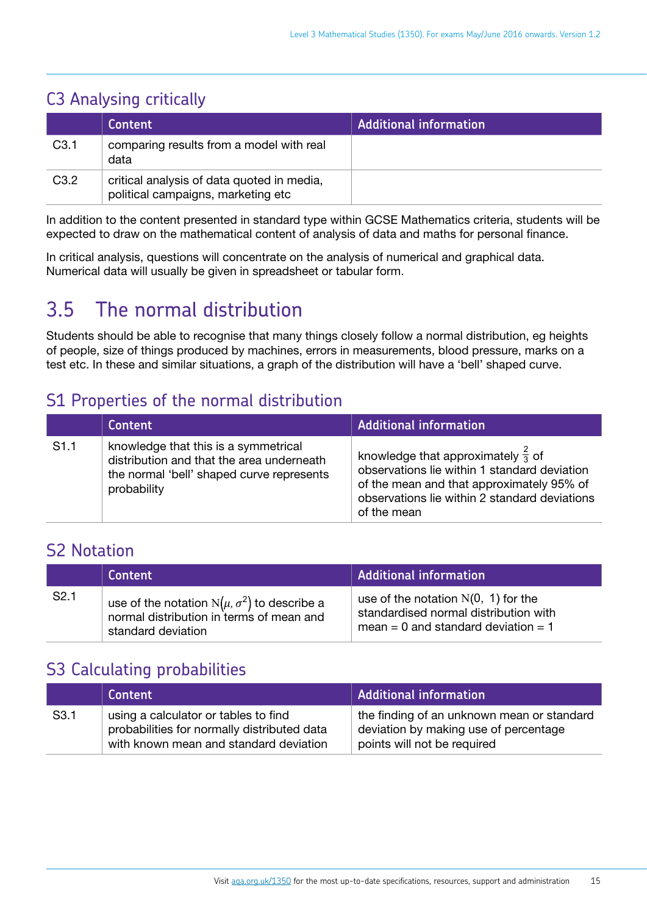### <span id="page-13-0"></span>C3 Analysing critically

|                  | <b>Content</b>                                                                   | <b>Additional information</b> |
|------------------|----------------------------------------------------------------------------------|-------------------------------|
| C <sub>3.1</sub> | comparing results from a model with real<br>data                                 |                               |
| C3.2             | critical analysis of data quoted in media,<br>political campaigns, marketing etc |                               |

In addition to the content presented in standard type within GCSE Mathematics criteria, students will be expected to draw on the mathematical content of analysis of data and maths for personal finance.

In critical analysis, questions will concentrate on the analysis of numerical and graphical data. Numerical data will usually be given in spreadsheet or tabular form.

## <span id="page-13-1"></span>3.5 The normal distribution

Students should be able to recognise that many things closely follow a normal distribution, eg heights of people, size of things produced by machines, errors in measurements, blood pressure, marks on a test etc. In these and similar situations, a graph of the distribution will have a 'bell' shaped curve.

### S1 Properties of the normal distribution

|      | <b>Content</b>                                                                                                                                | <b>Additional information</b>                                                                                                                                                                              |
|------|-----------------------------------------------------------------------------------------------------------------------------------------------|------------------------------------------------------------------------------------------------------------------------------------------------------------------------------------------------------------|
| S1.1 | knowledge that this is a symmetrical<br>distribution and that the area underneath<br>the normal 'bell' shaped curve represents<br>probability | knowledge that approximately $\frac{2}{3}$ of<br>observations lie within 1 standard deviation<br>of the mean and that approximately 95% of<br>observations lie within 2 standard deviations<br>of the mean |

### S2 Notation

|                  | <b>Content</b>                                                                                                         | <b>Additional information</b>                                                                                         |
|------------------|------------------------------------------------------------------------------------------------------------------------|-----------------------------------------------------------------------------------------------------------------------|
| S <sub>2.1</sub> | use of the notation $N(\mu, \sigma^2)$ to describe a<br>normal distribution in terms of mean and<br>standard deviation | use of the notation $N(0, 1)$ for the<br>standardised normal distribution with<br>mean = 0 and standard deviation = 1 |

### S3 Calculating probabilities

|                  | Content                                                                                                                       | <b>Additional information</b>                                                                                      |
|------------------|-------------------------------------------------------------------------------------------------------------------------------|--------------------------------------------------------------------------------------------------------------------|
| S <sub>3.1</sub> | using a calculator or tables to find<br>probabilities for normally distributed data<br>with known mean and standard deviation | the finding of an unknown mean or standard<br>deviation by making use of percentage<br>points will not be required |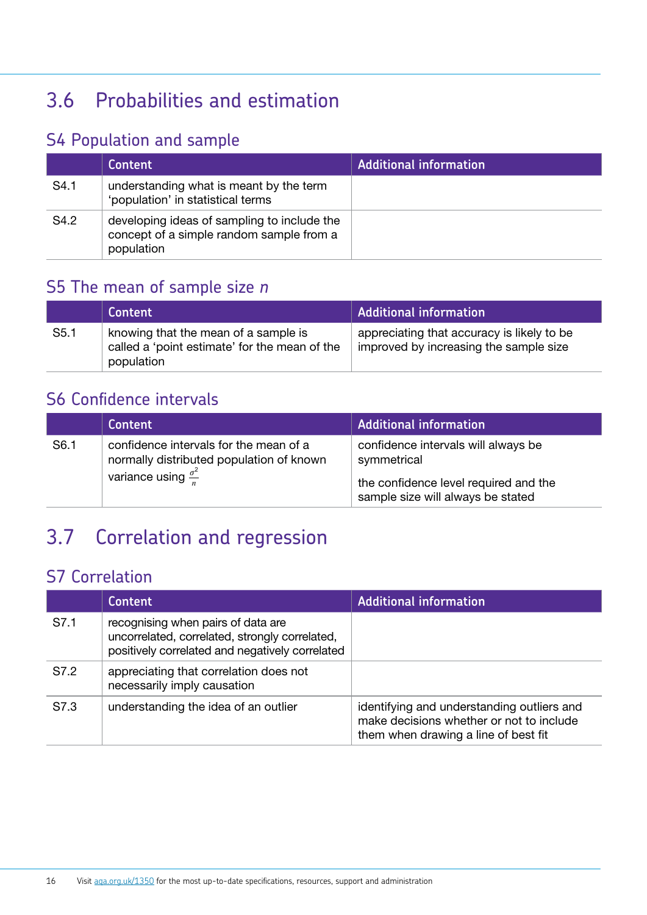## <span id="page-14-1"></span><span id="page-14-0"></span>3.6 Probabilities and estimation

### S4 Population and sample

|      | <b>Content</b>                                                                                        | <b>Additional information</b> |
|------|-------------------------------------------------------------------------------------------------------|-------------------------------|
| S4.1 | understanding what is meant by the term<br>'population' in statistical terms                          |                               |
| S4.2 | developing ideas of sampling to include the<br>concept of a simple random sample from a<br>population |                               |

### S5 The mean of sample size *n*

|                  | Content                                                                                             | <b>Additional information</b>                                                        |
|------------------|-----------------------------------------------------------------------------------------------------|--------------------------------------------------------------------------------------|
| S <sub>5.1</sub> | knowing that the mean of a sample is<br>called a 'point estimate' for the mean of the<br>population | appreciating that accuracy is likely to be<br>improved by increasing the sample size |

### S6 Confidence intervals

|                  | Content                                                                                                                   | <b>Additional information</b>                                                                                                    |
|------------------|---------------------------------------------------------------------------------------------------------------------------|----------------------------------------------------------------------------------------------------------------------------------|
| S <sub>6.1</sub> | confidence intervals for the mean of a<br>normally distributed population of known<br>variance using $\frac{\sigma^2}{n}$ | confidence intervals will always be<br>symmetrical<br>the confidence level required and the<br>sample size will always be stated |

# <span id="page-14-2"></span>3.7 Correlation and regression

### S7 Correlation

|      | <b>Content</b>                                                                                                                          | <b>Additional information</b>                                                                                                  |
|------|-----------------------------------------------------------------------------------------------------------------------------------------|--------------------------------------------------------------------------------------------------------------------------------|
| S7.1 | recognising when pairs of data are<br>uncorrelated, correlated, strongly correlated,<br>positively correlated and negatively correlated |                                                                                                                                |
| S7.2 | appreciating that correlation does not<br>necessarily imply causation                                                                   |                                                                                                                                |
| S7.3 | understanding the idea of an outlier                                                                                                    | identifying and understanding outliers and<br>make decisions whether or not to include<br>them when drawing a line of best fit |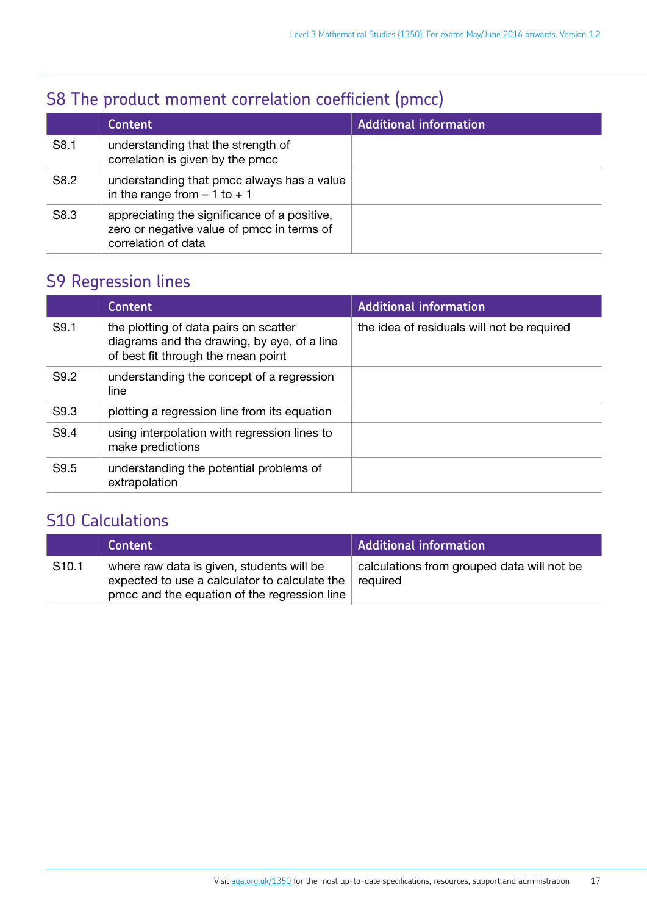### S8 The product moment correlation coefficient (pmcc)

|      | <b>Content</b>                                                                                                    | <b>Additional information</b> |
|------|-------------------------------------------------------------------------------------------------------------------|-------------------------------|
| S8.1 | understanding that the strength of<br>correlation is given by the pmcc                                            |                               |
| S8.2 | understanding that pmcc always has a value<br>in the range from $-1$ to $+1$                                      |                               |
| S8.3 | appreciating the significance of a positive,<br>zero or negative value of pmcc in terms of<br>correlation of data |                               |

### S9 Regression lines

|      | Content                                                                                                                    | <b>Additional information</b>              |
|------|----------------------------------------------------------------------------------------------------------------------------|--------------------------------------------|
| S9.1 | the plotting of data pairs on scatter<br>diagrams and the drawing, by eye, of a line<br>of best fit through the mean point | the idea of residuals will not be required |
| S9.2 | understanding the concept of a regression<br>line                                                                          |                                            |
| S9.3 | plotting a regression line from its equation                                                                               |                                            |
| S9.4 | using interpolation with regression lines to<br>make predictions                                                           |                                            |
| S9.5 | understanding the potential problems of<br>extrapolation                                                                   |                                            |

### S10 Calculations

|                   | Content                                                                                                                                                     | Additional information                     |
|-------------------|-------------------------------------------------------------------------------------------------------------------------------------------------------------|--------------------------------------------|
| S <sub>10.1</sub> | where raw data is given, students will be<br>expected to use a calculator to calculate the $\vert$ required<br>pmcc and the equation of the regression line | calculations from grouped data will not be |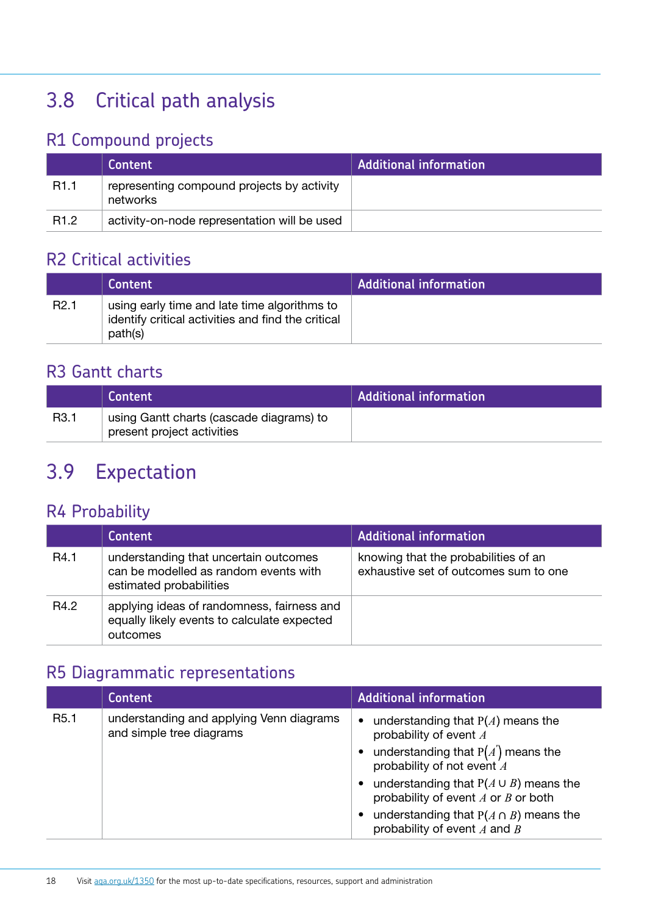# <span id="page-16-1"></span><span id="page-16-0"></span>3.8 Critical path analysis

### R1 Compound projects

|                  | <b>Content</b>                                         | <b>Additional information</b> |
|------------------|--------------------------------------------------------|-------------------------------|
| R <sub>1.1</sub> | representing compound projects by activity<br>networks |                               |
| R <sub>1.2</sub> | activity-on-node representation will be used           |                               |

### R2 Critical activities

|                  | <b>Content</b>                                                                                                | <b>Additional information</b> |
|------------------|---------------------------------------------------------------------------------------------------------------|-------------------------------|
| R <sub>2.1</sub> | using early time and late time algorithms to<br>identify critical activities and find the critical<br>path(s) |                               |

### R3 Gantt charts

|                  | <b>Content</b> \                                                       | <b>Additional information</b> |
|------------------|------------------------------------------------------------------------|-------------------------------|
| R <sub>3.1</sub> | using Gantt charts (cascade diagrams) to<br>present project activities |                               |

### <span id="page-16-2"></span>3.9 Expectation

### R4 Probability

|      | <b>Content</b>                                                                                            | <b>Additional information</b>                                                 |
|------|-----------------------------------------------------------------------------------------------------------|-------------------------------------------------------------------------------|
| R4.1 | understanding that uncertain outcomes<br>can be modelled as random events with<br>estimated probabilities | knowing that the probabilities of an<br>exhaustive set of outcomes sum to one |
| R4.2 | applying ideas of randomness, fairness and<br>equally likely events to calculate expected<br>outcomes     |                                                                               |

### R5 Diagrammatic representations

|                  | <b>Content</b>                                                       | <b>Additional information</b>                                                                                                                                                                                                                                                                                               |
|------------------|----------------------------------------------------------------------|-----------------------------------------------------------------------------------------------------------------------------------------------------------------------------------------------------------------------------------------------------------------------------------------------------------------------------|
| R <sub>5.1</sub> | understanding and applying Venn diagrams<br>and simple tree diagrams | understanding that $P(A)$ means the<br>$\bullet$<br>probability of event A<br>understanding that $P(A')$ means the<br>probability of not event A<br>understanding that $P(A \cup B)$ means the<br>probability of event $A$ or $B$ or both<br>understanding that $P(A \cap B)$ means the<br>probability of event $A$ and $B$ |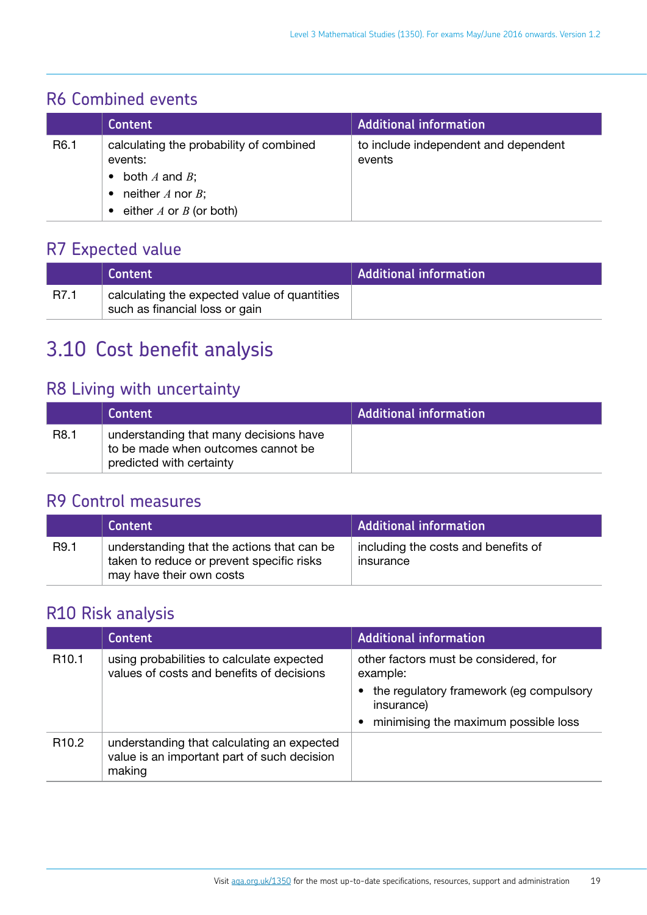### <span id="page-17-0"></span>R6 Combined events

|                  | <b>Content</b>                                                                                                                   | <b>Additional information</b>                  |
|------------------|----------------------------------------------------------------------------------------------------------------------------------|------------------------------------------------|
| R <sub>6.1</sub> | calculating the probability of combined<br>events:<br>both $A$ and $B$ ;<br>neither $A$ nor $B$ ;<br>either $A$ or $B$ (or both) | to include independent and dependent<br>events |

### R7 Expected value

|      | <b>Content</b>                                                                 | <b>Additional information</b> |
|------|--------------------------------------------------------------------------------|-------------------------------|
| R7.1 | calculating the expected value of quantities<br>such as financial loss or gain |                               |

## <span id="page-17-1"></span>3.10 Cost benefit analysis

### R8 Living with uncertainty

|                  | <b>Content</b>                                                                                           | <b>Additional information</b> |
|------------------|----------------------------------------------------------------------------------------------------------|-------------------------------|
| R <sub>8.1</sub> | understanding that many decisions have<br>to be made when outcomes cannot be<br>predicted with certainty |                               |

### R9 Control measures

|      | Content                                                                                                             | <b>Additional information</b>                    |
|------|---------------------------------------------------------------------------------------------------------------------|--------------------------------------------------|
| R9.1 | understanding that the actions that can be<br>taken to reduce or prevent specific risks<br>may have their own costs | including the costs and benefits of<br>insurance |

### R10 Risk analysis

|                   | <b>Content</b>                                                                                      | <b>Additional information</b>                           |
|-------------------|-----------------------------------------------------------------------------------------------------|---------------------------------------------------------|
| R <sub>10.1</sub> | using probabilities to calculate expected<br>values of costs and benefits of decisions              | other factors must be considered, for<br>example:       |
|                   |                                                                                                     | • the regulatory framework (eg compulsory<br>insurance) |
|                   |                                                                                                     | minimising the maximum possible loss                    |
| R <sub>10.2</sub> | understanding that calculating an expected<br>value is an important part of such decision<br>making |                                                         |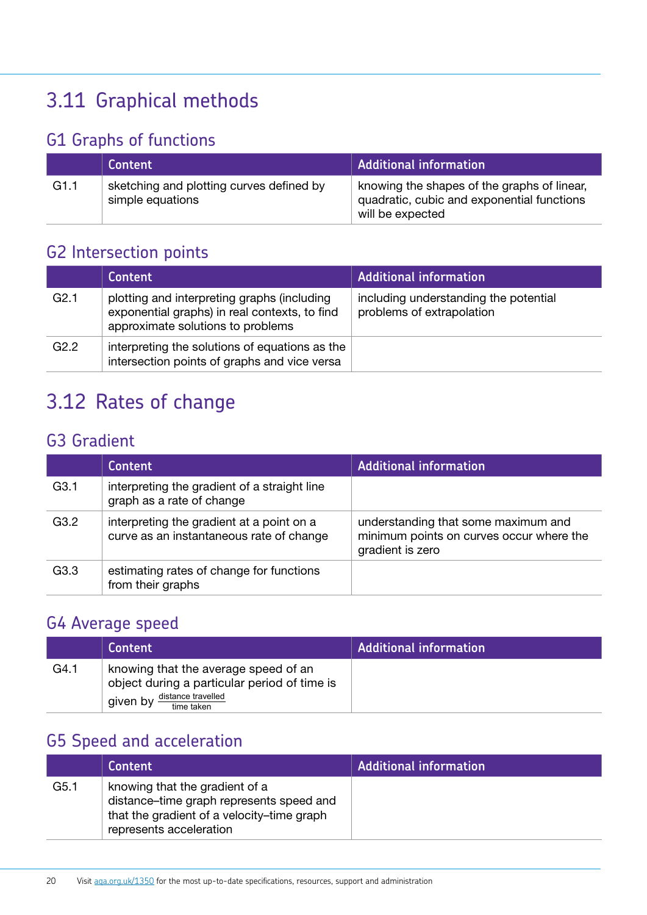# <span id="page-18-1"></span><span id="page-18-0"></span>3.11 Graphical methods

### G1 Graphs of functions

|      | Content                                                      | <b>Additional information</b>                                                                                 |
|------|--------------------------------------------------------------|---------------------------------------------------------------------------------------------------------------|
| G1.1 | sketching and plotting curves defined by<br>simple equations | knowing the shapes of the graphs of linear,<br>quadratic, cubic and exponential functions<br>will be expected |

### G2 Intersection points

|      | <b>Content</b>                                                                                                                    | <b>Additional information</b>                                      |
|------|-----------------------------------------------------------------------------------------------------------------------------------|--------------------------------------------------------------------|
| G2.1 | plotting and interpreting graphs (including<br>exponential graphs) in real contexts, to find<br>approximate solutions to problems | including understanding the potential<br>problems of extrapolation |
| G2.2 | interpreting the solutions of equations as the<br>intersection points of graphs and vice versa                                    |                                                                    |

## <span id="page-18-2"></span>3.12 Rates of change

### G3 Gradient

|                  | <b>Content</b>                                                                        | <b>Additional information</b>                                                                       |
|------------------|---------------------------------------------------------------------------------------|-----------------------------------------------------------------------------------------------------|
| G3.1             | interpreting the gradient of a straight line<br>graph as a rate of change             |                                                                                                     |
| G3.2             | interpreting the gradient at a point on a<br>curve as an instantaneous rate of change | understanding that some maximum and<br>minimum points on curves occur where the<br>gradient is zero |
| G <sub>3.3</sub> | estimating rates of change for functions<br>from their graphs                         |                                                                                                     |

### G4 Average speed

|      | <b>Content</b>                                                                                                                       | <b>Additional information</b> |
|------|--------------------------------------------------------------------------------------------------------------------------------------|-------------------------------|
| G4.1 | knowing that the average speed of an<br>object during a particular period of time is<br>distance travelled<br>given by<br>time taken |                               |

### G5 Speed and acceleration

|                  | <b>Content</b>                                                                                                                                      | <b>Additional information</b> |
|------------------|-----------------------------------------------------------------------------------------------------------------------------------------------------|-------------------------------|
| G <sub>5.1</sub> | knowing that the gradient of a<br>distance-time graph represents speed and<br>that the gradient of a velocity-time graph<br>represents acceleration |                               |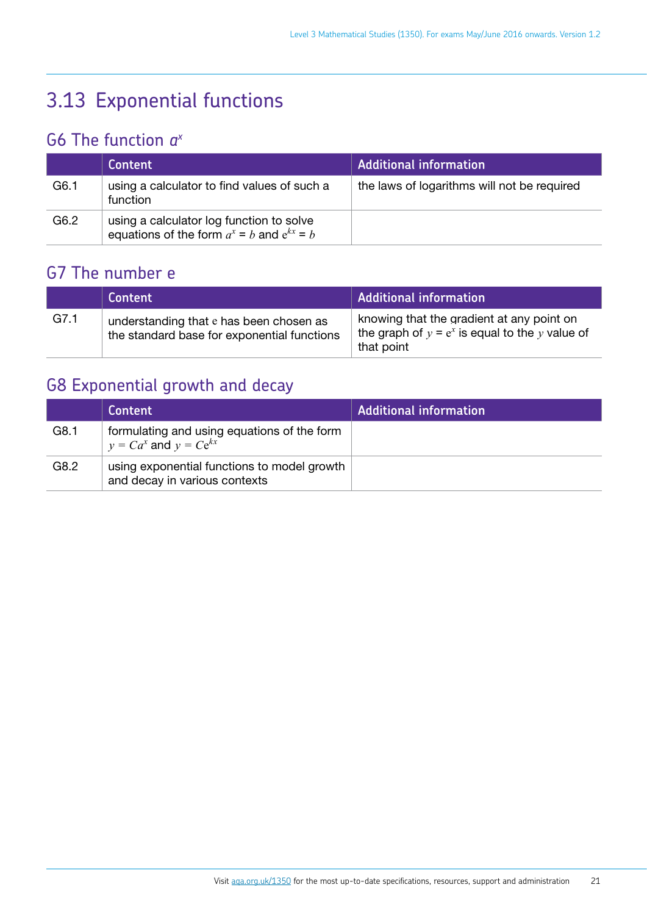# <span id="page-19-1"></span><span id="page-19-0"></span>3.13 Exponential functions

### G6 The function *ax*

|      | <b>Content</b>                                                                               | <b>Additional information</b>               |
|------|----------------------------------------------------------------------------------------------|---------------------------------------------|
| G6.1 | using a calculator to find values of such a<br>function                                      | the laws of logarithms will not be required |
| G6.2 | using a calculator log function to solve<br>equations of the form $a^x = b$ and $e^{kx} = b$ |                                             |

### G7 The number e

|      | <b>Content</b>                                                                         | <b>Additional information</b>                                                                                |
|------|----------------------------------------------------------------------------------------|--------------------------------------------------------------------------------------------------------------|
| G7.1 | understanding that e has been chosen as<br>the standard base for exponential functions | knowing that the gradient at any point on<br>the graph of $y = e^x$ is equal to the y value of<br>that point |

### G8 Exponential growth and decay

|      | <b>Content</b>                                                               | <b>Additional information</b> |
|------|------------------------------------------------------------------------------|-------------------------------|
| G8.1 | formulating and using equations of the form<br>$y = Ca^x$ and $y = Ce^{kx}$  |                               |
| G8.2 | using exponential functions to model growth<br>and decay in various contexts |                               |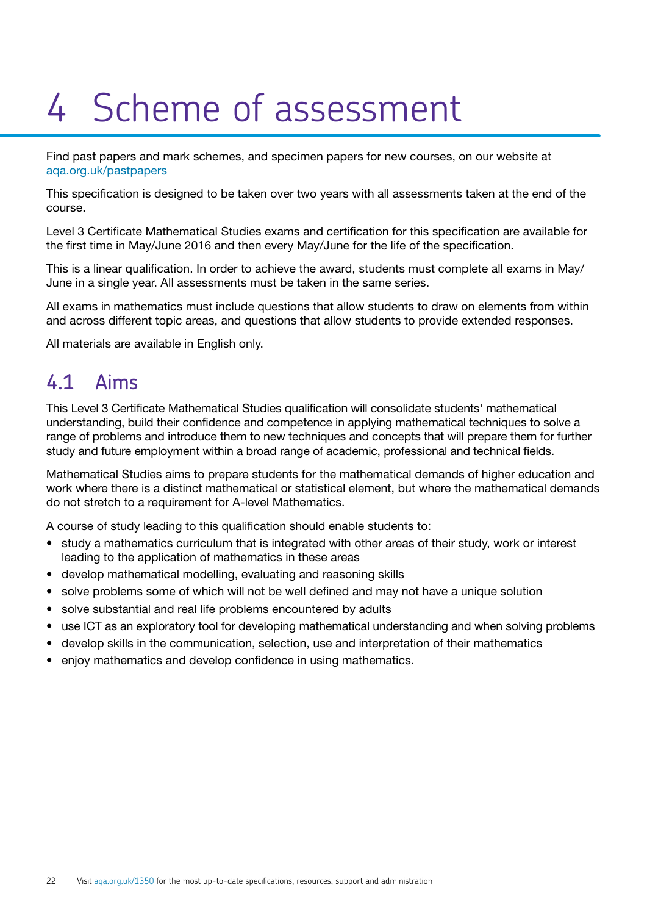# <span id="page-20-0"></span>4 Scheme of assessment

Find past papers and mark schemes, and specimen papers for new courses, on our website at [aqa.org.uk/pastpapers](http://www.aqa.org.uk/pastpapers)

This specification is designed to be taken over two years with all assessments taken at the end of the course.

Level 3 Certificate Mathematical Studies exams and certification for this specification are available for the first time in May/June 2016 and then every May/June for the life of the specification.

This is a linear qualification. In order to achieve the award, students must complete all exams in May/ June in a single year. All assessments must be taken in the same series.

All exams in mathematics must include questions that allow students to draw on elements from within and across different topic areas, and questions that allow students to provide extended responses.

All materials are available in English only.

### 4.1 Aims

This Level 3 Certificate Mathematical Studies qualification will consolidate students' mathematical understanding, build their confidence and competence in applying mathematical techniques to solve a range of problems and introduce them to new techniques and concepts that will prepare them for further study and future employment within a broad range of academic, professional and technical fields.

Mathematical Studies aims to prepare students for the mathematical demands of higher education and work where there is a distinct mathematical or statistical element, but where the mathematical demands do not stretch to a requirement for A-level Mathematics.

A course of study leading to this qualification should enable students to:

- study a mathematics curriculum that is integrated with other areas of their study, work or interest leading to the application of mathematics in these areas
- develop mathematical modelling, evaluating and reasoning skills
- solve problems some of which will not be well defined and may not have a unique solution
- solve substantial and real life problems encountered by adults
- use ICT as an exploratory tool for developing mathematical understanding and when solving problems
- develop skills in the communication, selection, use and interpretation of their mathematics
- enjoy mathematics and develop confidence in using mathematics.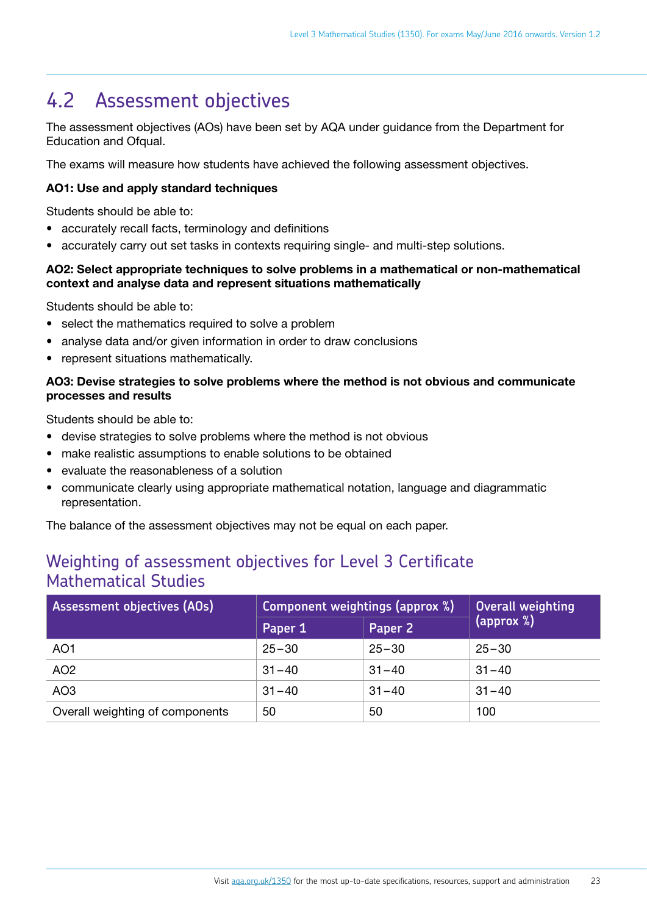### <span id="page-21-0"></span>4.2 Assessment objectives

The assessment objectives (AOs) have been set by AQA under guidance from the Department for Education and Ofqual.

The exams will measure how students have achieved the following assessment objectives.

#### AO1: Use and apply standard techniques

Students should be able to:

- accurately recall facts, terminology and definitions
- accurately carry out set tasks in contexts requiring single- and multi-step solutions.

#### AO2: Select appropriate techniques to solve problems in a mathematical or non-mathematical context and analyse data and represent situations mathematically

Students should be able to:

- select the mathematics required to solve a problem
- analyse data and/or given information in order to draw conclusions
- represent situations mathematically.

#### AO3: Devise strategies to solve problems where the method is not obvious and communicate processes and results

Students should be able to:

- devise strategies to solve problems where the method is not obvious
- make realistic assumptions to enable solutions to be obtained
- evaluate the reasonableness of a solution
- communicate clearly using appropriate mathematical notation, language and diagrammatic representation.

The balance of the assessment objectives may not be equal on each paper.

#### Weighting of assessment objectives for Level 3 Certificate Mathematical Studies

| Assessment objectives (AOs)     | Component weightings (approx %) |           | Overall weighting   |
|---------------------------------|---------------------------------|-----------|---------------------|
|                                 | Paper 1                         | Paper 2   | ${\rm (approx  %)}$ |
| AO <sub>1</sub>                 | $25 - 30$                       | $25 - 30$ | $25 - 30$           |
| AO <sub>2</sub>                 | $31 - 40$                       | $31 - 40$ | $31 - 40$           |
| AO <sub>3</sub>                 | $31 - 40$                       | $31 - 40$ | $31 - 40$           |
| Overall weighting of components | 50                              | 50        | 100                 |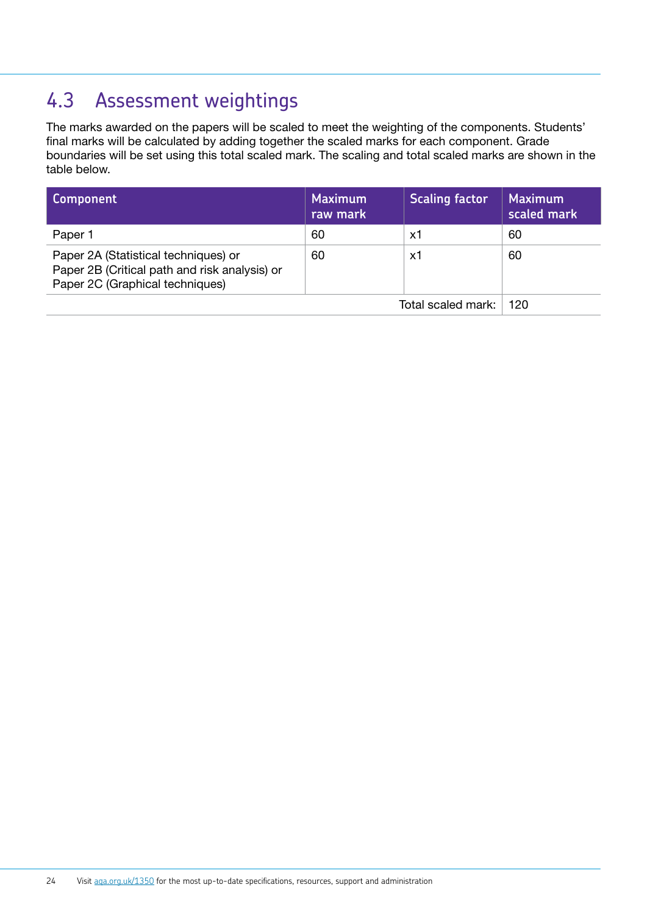## <span id="page-22-0"></span>4.3 Assessment weightings

The marks awarded on the papers will be scaled to meet the weighting of the components. Students' final marks will be calculated by adding together the scaled marks for each component. Grade boundaries will be set using this total scaled mark. The scaling and total scaled marks are shown in the table below.

| Component                                                                                                                | <b>Maximum</b><br>raw mark | <b>Scaling factor</b> | Maximum<br>scaled mark |
|--------------------------------------------------------------------------------------------------------------------------|----------------------------|-----------------------|------------------------|
| Paper 1                                                                                                                  | 60                         | х1                    | 60                     |
| Paper 2A (Statistical techniques) or<br>Paper 2B (Critical path and risk analysis) or<br>Paper 2C (Graphical techniques) | 60                         | х1                    | 60                     |
|                                                                                                                          |                            | Total scaled mark:    | 120                    |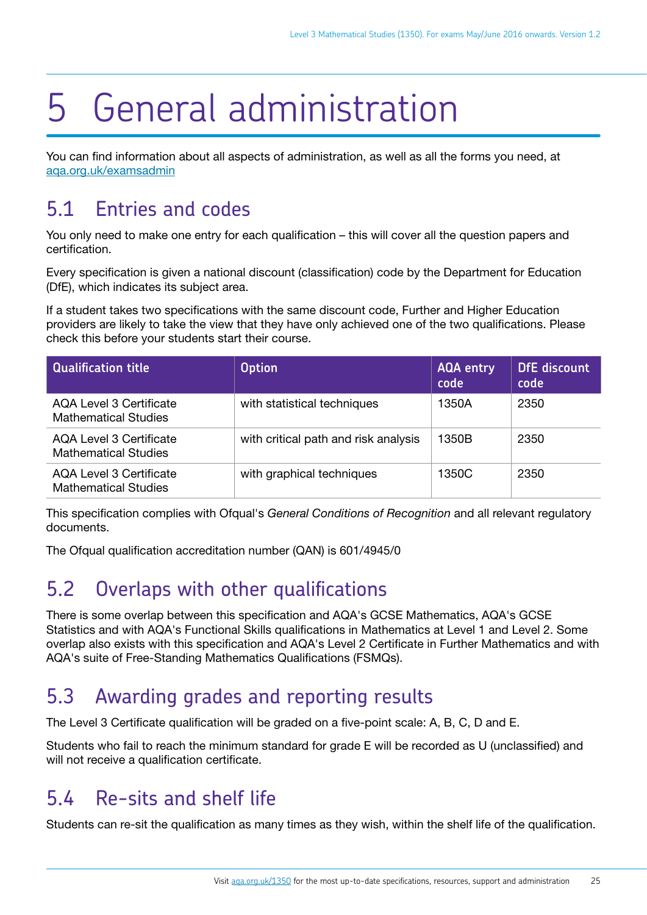# <span id="page-23-0"></span>5 General administration

You can find information about all aspects of administration, as well as all the forms you need, at [aqa.org.uk/examsadmin](http://aqa.org.uk/examsadmin)

## 5.1 Entries and codes

You only need to make one entry for each qualification – this will cover all the question papers and certification.

Every specification is given a national discount (classification) code by the Department for Education (DfE), which indicates its subject area.

If a student takes two specifications with the same discount code, Further and Higher Education providers are likely to take the view that they have only achieved one of the two qualifications. Please check this before your students start their course.

| <b>Qualification title</b>                                    | <b>Option</b>                        | <b>AQA entry</b><br>code | <b>DfE</b> discount<br>code |
|---------------------------------------------------------------|--------------------------------------|--------------------------|-----------------------------|
| <b>AQA Level 3 Certificate</b><br><b>Mathematical Studies</b> | with statistical techniques          | 1350A                    | 2350                        |
| <b>AQA Level 3 Certificate</b><br><b>Mathematical Studies</b> | with critical path and risk analysis | 1350B                    | 2350                        |
| AQA Level 3 Certificate<br><b>Mathematical Studies</b>        | with graphical techniques            | 1350C                    | 2350                        |

This specification complies with Ofqual's *General Conditions of Recognition* and all relevant regulatory documents.

The Ofqual qualification accreditation number (QAN) is 601/4945/0

## 5.2 Overlaps with other qualifications

There is some overlap between this specification and AQA's GCSE Mathematics, AQA's GCSE Statistics and with AQA's Functional Skills qualifications in Mathematics at Level 1 and Level 2. Some overlap also exists with this specification and AQA's Level 2 Certificate in Further Mathematics and with AQA's suite of Free-Standing Mathematics Qualifications (FSMQs).

## 5.3 Awarding grades and reporting results

The Level 3 Certificate qualification will be graded on a five-point scale: A, B, C, D and E.

Students who fail to reach the minimum standard for grade E will be recorded as U (unclassified) and will not receive a qualification certificate.

### 5.4 Re-sits and shelf life

Students can re-sit the qualification as many times as they wish, within the shelf life of the qualification.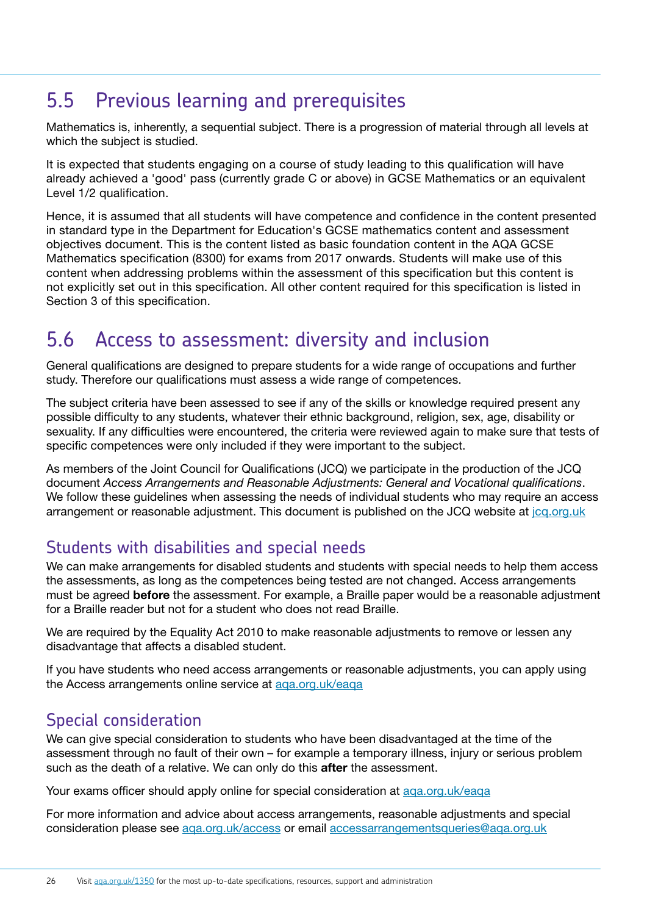### <span id="page-24-0"></span>5.5 Previous learning and prerequisites

Mathematics is, inherently, a sequential subject. There is a progression of material through all levels at which the subject is studied.

It is expected that students engaging on a course of study leading to this qualification will have already achieved a 'good' pass (currently grade C or above) in GCSE Mathematics or an equivalent Level 1/2 qualification.

Hence, it is assumed that all students will have competence and confidence in the content presented in standard type in the Department for Education's GCSE mathematics content and assessment objectives document. This is the content listed as basic foundation content in the AQA GCSE Mathematics specification (8300) for exams from 2017 onwards. Students will make use of this content when addressing problems within the assessment of this specification but this content is not explicitly set out in this specification. All other content required for this specification is listed in Section 3 of this specification.

### 5.6 Access to assessment: diversity and inclusion

General qualifications are designed to prepare students for a wide range of occupations and further study. Therefore our qualifications must assess a wide range of competences.

The subject criteria have been assessed to see if any of the skills or knowledge required present any possible difficulty to any students, whatever their ethnic background, religion, sex, age, disability or sexuality. If any difficulties were encountered, the criteria were reviewed again to make sure that tests of specific competences were only included if they were important to the subject.

As members of the Joint Council for Qualifications (JCQ) we participate in the production of the JCQ document *Access Arrangements and Reasonable Adjustments: General and Vocational qualifications*. We follow these guidelines when assessing the needs of individual students who may require an access arrangement or reasonable adjustment. This document is published on the JCQ website at [jcq.org.uk](http://www.jcq.org.uk/)

### Students with disabilities and special needs

We can make arrangements for disabled students and students with special needs to help them access the assessments, as long as the competences being tested are not changed. Access arrangements must be agreed **before** the assessment. For example, a Braille paper would be a reasonable adjustment for a Braille reader but not for a student who does not read Braille.

We are required by the Equality Act 2010 to make reasonable adjustments to remove or lessen any disadvantage that affects a disabled student.

If you have students who need access arrangements or reasonable adjustments, you can apply using the Access arrangements online service at [aqa.org.uk/eaqa](http://www.aqa.org.uk/eaqa)

#### Special consideration

We can give special consideration to students who have been disadvantaged at the time of the assessment through no fault of their own – for example a temporary illness, injury or serious problem such as the death of a relative. We can only do this **after** the assessment.

Your exams officer should apply online for special consideration at [aqa.org.uk/eaqa](http://www.aqa.org.uk/eaqa)

For more information and advice about access arrangements, reasonable adjustments and special consideration please see [aqa.org.uk/access](http://www.aqa.org.uk/access) or email accessarrangementsqueries@aqa.org.uk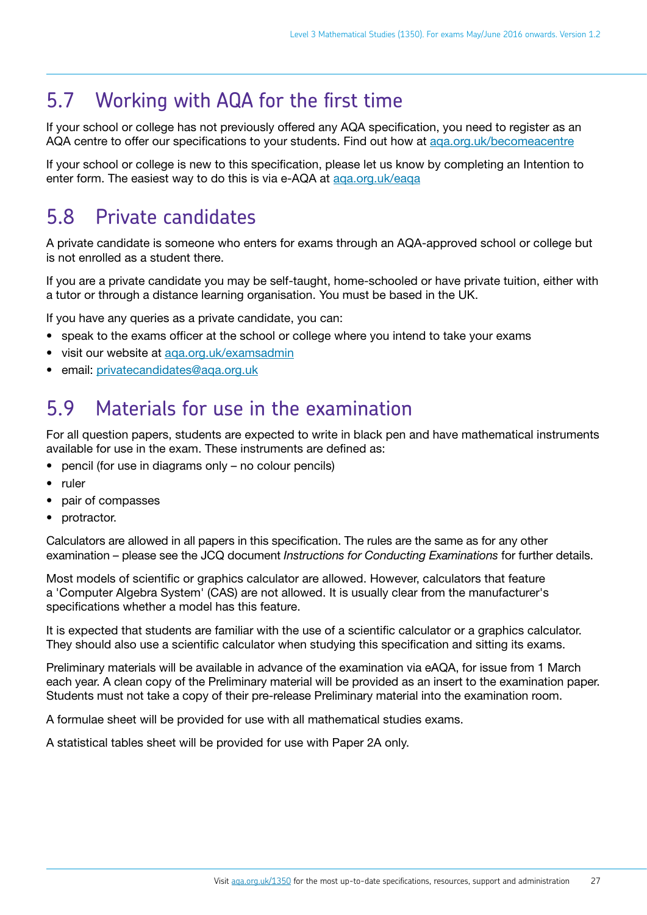### <span id="page-25-0"></span>5.7 Working with AQA for the first time

If your school or college has not previously offered any AQA specification, you need to register as an AQA centre to offer our specifications to your students. Find out how at [aqa.org.uk/becomeacentre](http://www.aqa.org.uk/becomeacentre)

If your school or college is new to this specification, please let us know by completing an Intention to enter form. The easiest way to do this is via e-AQA at aga.org.uk/eaga

### 5.8 Private candidates

A private candidate is someone who enters for exams through an AQA-approved school or college but is not enrolled as a student there.

If you are a private candidate you may be self-taught, home-schooled or have private tuition, either with a tutor or through a distance learning organisation. You must be based in the UK.

If you have any queries as a private candidate, you can:

- speak to the exams officer at the school or college where you intend to take your exams
- visit our website at [aqa.org.uk/examsadmin](http://www.aqa.org.uk/examsadmin)
- email: privatecandidates@aga.org.uk

### 5.9 Materials for use in the examination

For all question papers, students are expected to write in black pen and have mathematical instruments available for use in the exam. These instruments are defined as:

- pencil (for use in diagrams only no colour pencils)
- ruler
- pair of compasses
- protractor.

Calculators are allowed in all papers in this specification. The rules are the same as for any other examination – please see the JCQ document *Instructions for Conducting Examinations* for further details.

Most models of scientific or graphics calculator are allowed. However, calculators that feature a 'Computer Algebra System' (CAS) are not allowed. It is usually clear from the manufacturer's specifications whether a model has this feature.

It is expected that students are familiar with the use of a scientific calculator or a graphics calculator. They should also use a scientific calculator when studying this specification and sitting its exams.

Preliminary materials will be available in advance of the examination via eAQA, for issue from 1 March each year. A clean copy of the Preliminary material will be provided as an insert to the examination paper. Students must not take a copy of their pre-release Preliminary material into the examination room.

A formulae sheet will be provided for use with all mathematical studies exams.

A statistical tables sheet will be provided for use with Paper 2A only.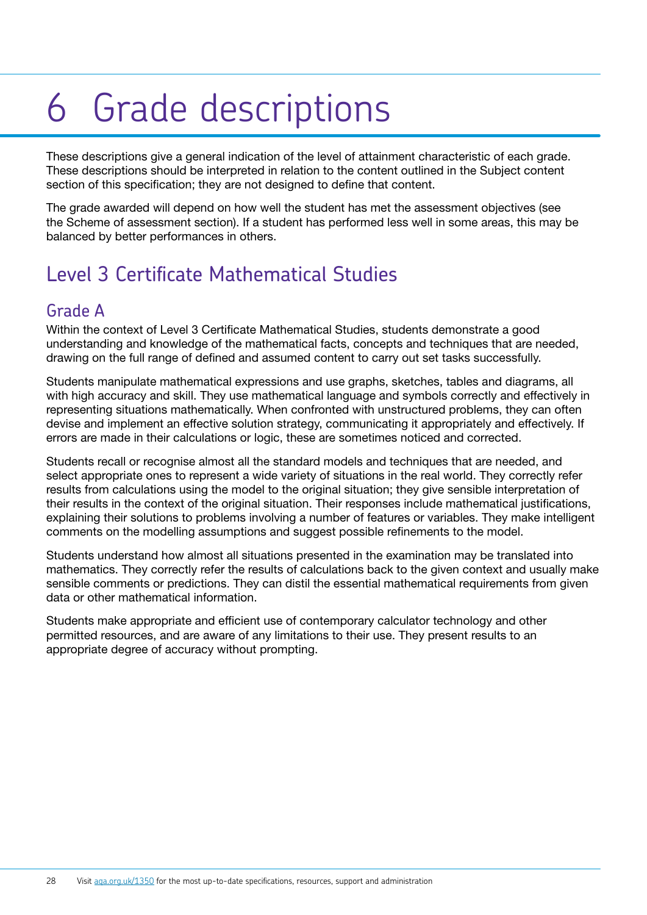# <span id="page-26-0"></span>6 Grade descriptions

These descriptions give a general indication of the level of attainment characteristic of each grade. These descriptions should be interpreted in relation to the content outlined in the Subject content section of this specification; they are not designed to define that content.

The grade awarded will depend on how well the student has met the assessment objectives (see the Scheme of assessment section). If a student has performed less well in some areas, this may be balanced by better performances in others.

## Level 3 Certificate Mathematical Studies

#### Grade A

Within the context of Level 3 Certificate Mathematical Studies, students demonstrate a good understanding and knowledge of the mathematical facts, concepts and techniques that are needed, drawing on the full range of defined and assumed content to carry out set tasks successfully.

Students manipulate mathematical expressions and use graphs, sketches, tables and diagrams, all with high accuracy and skill. They use mathematical language and symbols correctly and effectively in representing situations mathematically. When confronted with unstructured problems, they can often devise and implement an effective solution strategy, communicating it appropriately and effectively. If errors are made in their calculations or logic, these are sometimes noticed and corrected.

Students recall or recognise almost all the standard models and techniques that are needed, and select appropriate ones to represent a wide variety of situations in the real world. They correctly refer results from calculations using the model to the original situation; they give sensible interpretation of their results in the context of the original situation. Their responses include mathematical justifications, explaining their solutions to problems involving a number of features or variables. They make intelligent comments on the modelling assumptions and suggest possible refinements to the model.

Students understand how almost all situations presented in the examination may be translated into mathematics. They correctly refer the results of calculations back to the given context and usually make sensible comments or predictions. They can distil the essential mathematical requirements from given data or other mathematical information.

Students make appropriate and efficient use of contemporary calculator technology and other permitted resources, and are aware of any limitations to their use. They present results to an appropriate degree of accuracy without prompting.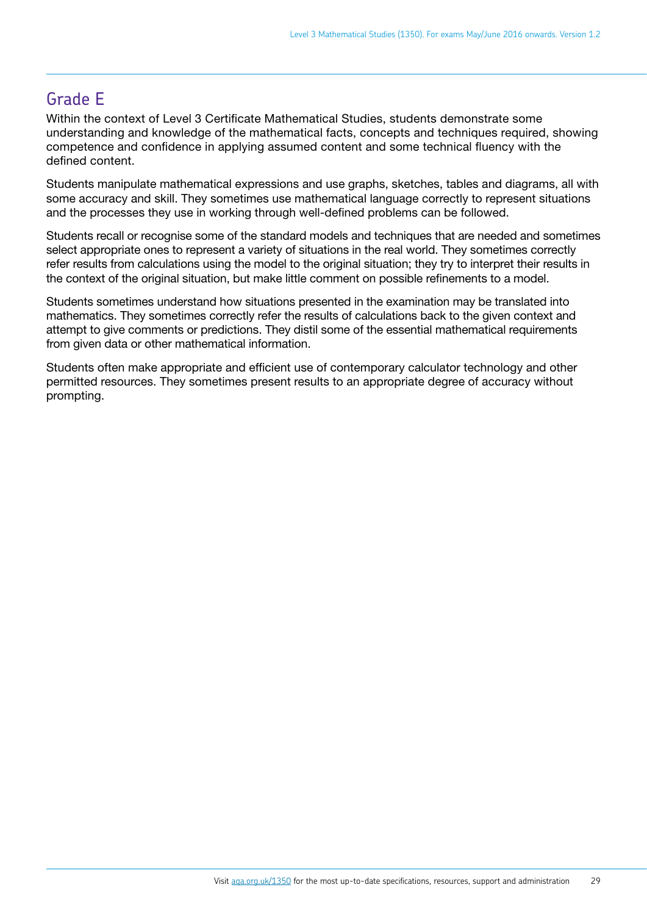### Grade E

Within the context of Level 3 Certificate Mathematical Studies, students demonstrate some understanding and knowledge of the mathematical facts, concepts and techniques required, showing competence and confidence in applying assumed content and some technical fluency with the defined content.

Students manipulate mathematical expressions and use graphs, sketches, tables and diagrams, all with some accuracy and skill. They sometimes use mathematical language correctly to represent situations and the processes they use in working through well-defined problems can be followed.

Students recall or recognise some of the standard models and techniques that are needed and sometimes select appropriate ones to represent a variety of situations in the real world. They sometimes correctly refer results from calculations using the model to the original situation; they try to interpret their results in the context of the original situation, but make little comment on possible refinements to a model.

Students sometimes understand how situations presented in the examination may be translated into mathematics. They sometimes correctly refer the results of calculations back to the given context and attempt to give comments or predictions. They distil some of the essential mathematical requirements from given data or other mathematical information.

Students often make appropriate and efficient use of contemporary calculator technology and other permitted resources. They sometimes present results to an appropriate degree of accuracy without prompting.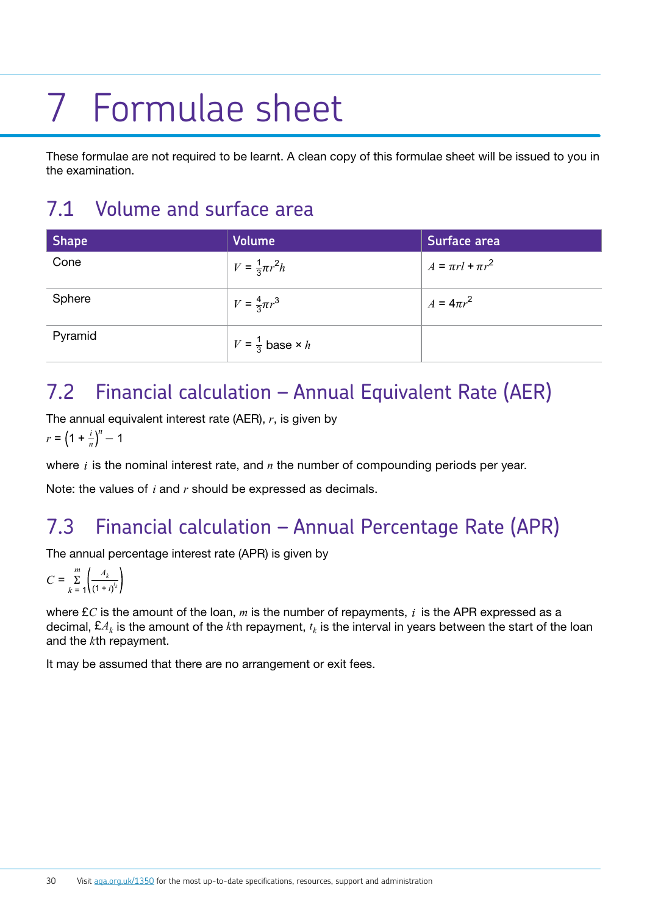# <span id="page-28-0"></span>7 Formulae sheet

These formulae are not required to be learnt. A clean copy of this formulae sheet will be issued to you in the examination.

# 7.1 Volume and surface area

| <b>Shape</b> | <b>Volume</b>                     | Surface area            |
|--------------|-----------------------------------|-------------------------|
| Cone         | $V = \frac{1}{3}\pi r^2 h$        | $A = \pi r l + \pi r^2$ |
| Sphere       | $V = \frac{4}{3}\pi r^3$          | $A = 4\pi r^2$          |
| Pyramid      | $V = \frac{1}{3}$ base $\times h$ |                         |

## 7.2 Financial calculation – Annual Equivalent Rate (AER)

The annual equivalent interest rate (AER), *r*, is given by

$$
r = \left(1 + \frac{i}{n}\right)^n - 1
$$

where  $i$  is the nominal interest rate, and  $n$  the number of compounding periods per year.

Note: the values of  $i$  and  $r$  should be expressed as decimals.

# 7.3 Financial calculation – Annual Percentage Rate (APR)

The annual percentage interest rate (APR) is given by

$$
C = \sum_{k=1}^{m} \left( \frac{A_k}{(1+i)^{t_k}} \right)
$$

where  $\pounds C$  is the amount of the loan,  $m$  is the number of repayments,  $i$  is the APR expressed as a decimal,  $\mathbf{\pounds}A_k$  is the amount of the *k*th repayment,  $t_k$  is the interval in years between the start of the loan and the *k*th repayment.

It may be assumed that there are no arrangement or exit fees.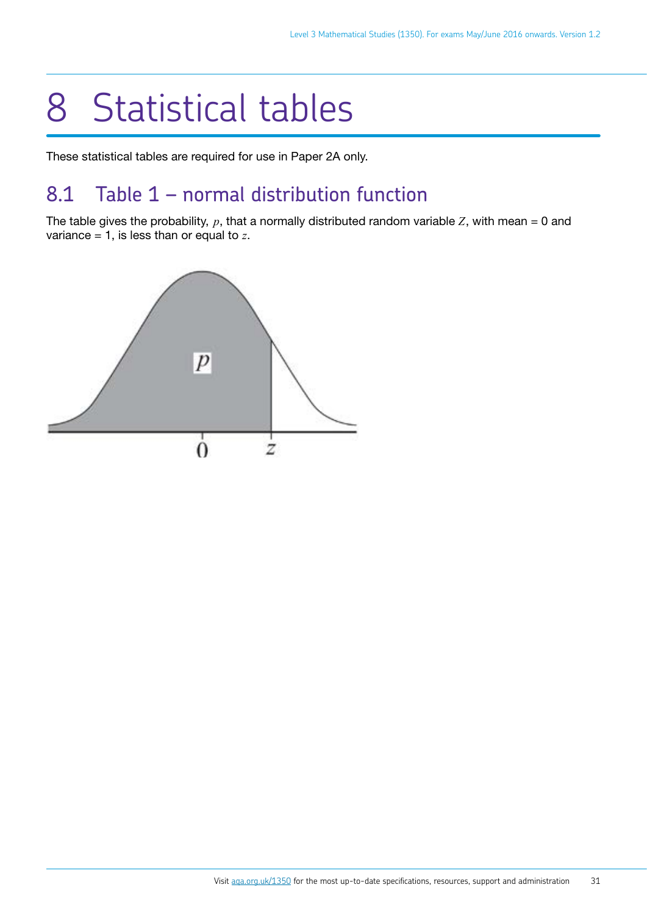# <span id="page-29-0"></span>8 Statistical tables

These statistical tables are required for use in Paper 2A only.

### 8.1 Table 1 – normal distribution function

The table gives the probability,  $p$ , that a normally distributed random variable  $Z$ , with mean = 0 and variance = 1, is less than or equal to *z*.

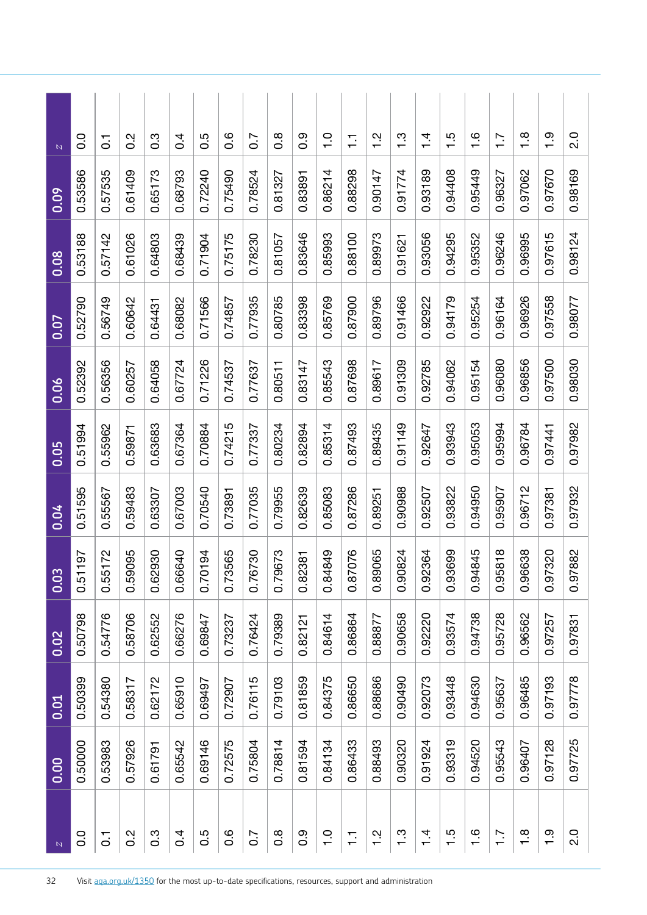| N                | 0.00    | 0.01    | 0.02    | 0.03               | 0.04    | 0.05    | $\overline{0.06}$ | 0.07    | 0.08    | 0.09    | $\mathbb{N}$     |
|------------------|---------|---------|---------|--------------------|---------|---------|-------------------|---------|---------|---------|------------------|
| 0.0              | 0.50000 | 0.50399 | 0.50798 | 197<br>0.51        | 0.51595 | 0.51994 | 0.52392           | 0.52790 | 0.53188 | 0.53586 | $\overline{0}$   |
| $\overline{C}$   | 0.53983 | 0.54380 | 0.54776 | 0.55172            | 0.55567 | 0.55962 | 0.56356           | 0.56749 | 0.57142 | 0.57535 | $\overline{C}$   |
| $0.\overline{2}$ | 0.57926 | 0.58317 | 0.58706 | 0.59095            | 0.59483 | 0.59871 | 0.60257           | 0.60642 | 0.61026 | 0.61409 | $0.\overline{2}$ |
| $0.\overline{3}$ | 0.61791 | 0.62172 | 0.62552 | <b>930</b><br>0.62 | 0.63307 | 0.63683 | 0.64058           | 0.64431 | 0.64803 | 0.65173 | $\frac{3}{2}$    |
| 0.4              | 0.65542 | 0.65910 | 0.66276 | 0.66640            | 0.67003 | 0.67364 | 0.67724           | 0.68082 | 0.68439 | 0.68793 | $\overline{0}$ . |
| 0.5              | 0.69146 | 0.69497 | 0.69847 | 0.70194            | 0.70540 | 0.70884 | 0.71226           | 0.71566 | 0.71904 | 0.72240 | 0.5              |
| $0.\overline{0}$ | 0.72575 | 0.72907 | 0.73237 | 0.73565            | 0.73891 | 0.74215 | 0.74537           | 0.74857 | 0.75175 | 0.75490 | o.o              |
| 0.7              | 0.75804 | 0.76115 | 0.76424 | 0.76730            | 0.77035 | 0.77337 | 0.77637           | 0.77935 | 0.78230 | 0.78524 | 0.7              |
| $0.\overline{8}$ | 0.78814 | 0.79103 | 0.79389 | 0.79673            | 0.79955 | 0.80234 | 0.80511           | 0.80785 | 0.81057 | 0.81327 | $\frac{8}{2}$    |
| $0.\overline{9}$ | 0.81594 | 0.81859 | 0.82121 | 0.82381            | 0.82639 | 0.82894 | 0.83147           | 0.83398 | 0.83646 | 0.83891 | 0.9              |
| $\frac{0}{1}$    | 0.84134 | 0.84375 | 0.84614 | 0.84849            | 0.85083 | 0.85314 | 0.85543           | 0.85769 | 0.85993 | 0.86214 | $\frac{0}{1}$    |
| $\overline{1}$   | 0.86433 | 0.86650 | 0.86864 | 0.87076            | 0.87286 | 0.87493 | 0.87698           | 0.87900 | 0.88100 | 0.88298 | 들                |
| $\frac{2}{1}$    | 0.88493 | 0.88686 | 0.88877 | 0.89065            | 0.89251 | 0.89435 | 0.89617           | 0.89796 | 0.89973 | 0.90147 | $\frac{2}{1}$    |
| $\frac{3}{1}$    | 0.90320 | 0.90490 | 0.90658 | 0.90824            | 0.90988 | 0.91149 | 0.91309           | 0.91466 | 0.91621 | 0.91774 | $\frac{3}{1}$    |
| $\frac{4}{1}$    | 0.91924 | 0.92073 | 0.92220 | 0.92364            | 0.92507 | 0.92647 | 0.92785           | 0.92922 | 0.93056 | 0.93189 | $\frac{4}{1}$    |
| 1.5              | 0.93319 | 0.93448 | 0.93574 | 0.93699            | 0.93822 | 0.93943 | 0.94062           | 0.94179 | 0.94295 | 0.94408 | $\frac{5}{1}$    |
| 1.6              | 0.94520 | 0.94630 | 0.94738 | 0.94845            | 0.94950 | 0.95053 | 0.95154           | 0.95254 | 0.95352 | 0.95449 | $\frac{6}{1}$    |
| $\overline{1}$ : | 0.95543 | 0.95637 | 0.95728 | 0.95818            | 0.95907 | 0.95994 | 0.96080           | 0.96164 | 0.96246 | 0.96327 | $\overline{1}$ . |
| $\frac{8}{1}$    | 0.96407 | 0.96485 | 0.96562 | 0.96638            | 0.96712 | 0.96784 | 0.96856           | 0.96926 | 0.96995 | 0.97062 | $\frac{8}{1}$    |
| $\frac{0}{1}$    | 0.97128 | 0.97193 | 0.97257 | 0.97320            | 0.97381 | 0.97441 | 0.97500           | 0.97558 | 0.97615 | 0.97670 | $\frac{0}{1}$    |
| 2.0              | 0.97725 | 0.97778 | 0.97831 | 0.97882            | 0.97932 | 0.97982 | 0.98030           | 0.98077 | 0.98124 | 0.98169 | 2.0              |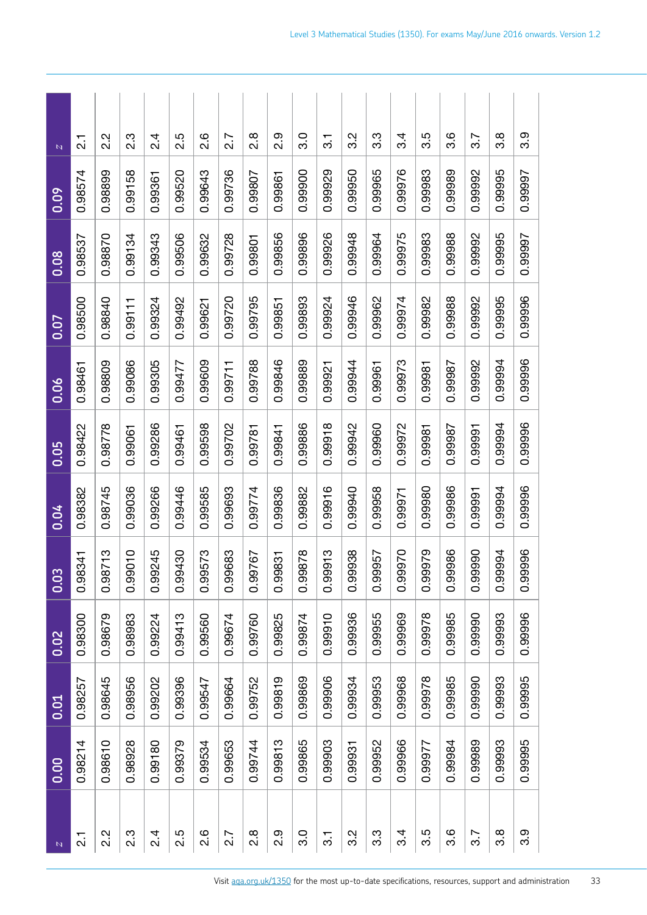| N               | 0.00    | 0.01    | 0.02    | $\overline{c}$<br>$\overline{0}$ | 0.04    | $\overline{0.05}$ | 0.06    | 0.07    | 0.08    | 0.09    | N                |
|-----------------|---------|---------|---------|----------------------------------|---------|-------------------|---------|---------|---------|---------|------------------|
| $\frac{1}{2}$   | 0.98214 | 0.98257 | 0.98300 | 8341<br>õ.<br>O                  | 0.98382 | 0.98422           | 0.98461 | 0.98500 | 0.98537 | 0.98574 | 7.<br>21         |
| 2.2             | 0.98610 | 0.98645 | 0.98679 | 8713<br>õ.<br>O                  | 0.98745 | 0.98778           | 0.98809 | 0.98840 | 0.98870 | 0.98899 | $2.\overline{2}$ |
| 2.3             | 0.98928 | 0.98956 | 0.98983 | 9010<br>ŏ.o                      | 0.99036 | 0.99061           | 0.99086 | 0.99111 | 0.99134 | 0.99158 | ვ<br>2           |
| $\frac{4}{2}$   | 0.99180 | 0.99202 | 0.99224 | 9245<br>ŏ.<br>O                  | 0.99266 | 0.99286           | 0.99305 | 0.99324 | 0.99343 | 0.99361 | ८.<br>२          |
| 2.5             | 0.99379 | 0.99396 | 0.99413 | 9430<br>ö<br>O                   | 0.99446 | 0.99461           | 0.99477 | 0.99492 | 0.99506 | 0.99520 | 2.5              |
| 2.6             | 0.99534 | 0.99547 | 0.99560 | 9573<br>ŏ.o                      | 0.99585 | 0.99598           | 0.99609 | 0.99621 | 0.99632 | 0.99643 | 2.6              |
| 2.7             | 0.99653 | 0.99664 | 0.99674 | 9683<br>ŏ.o                      | 0.99693 | 0.99702           | 0.99711 | 0.99720 | 0.99728 | 0.99736 | 2.7              |
| $\frac{8}{2}$   | 0.99744 | 0.99752 | 0.99760 | 9767<br>0.9                      | 0.99774 | 0.99781           | 0.99788 | 0.99795 | 0.99801 | 0.99807 | $\frac{8}{2}$    |
| o.i             | 0.99813 | 0.99819 | 0.99825 | 9831<br><u>ဝ</u><br>ဝ            | 0.99836 | 0.99841           | 0.99846 | 0.99851 | 0.99856 | 0.99861 | 0.<br>2          |
| o.o             | 0.99865 | 0.99869 | 0.99874 | 9878<br>õ.o                      | 0.99882 | 0.99886           | 0.99889 | 0.99893 | 0.99896 | 0.99900 | .<br>೧           |
| $\overline{3}$  | 0.99903 | 0.99906 | 0.99910 | 9913<br>õ.<br>O                  | 0.99916 | 0.99918           | 0.99921 | 0.99924 | 0.99926 | 0.99929 | $\overline{3}$   |
| 3.2             | 0.99931 | 0.99934 | 0.99936 | 9938<br>0.9                      | 0.99940 | 0.99942           | 0.99944 | 0.99946 | 0.99948 | 0.99950 | 3.2              |
| 3.3             | 0.99952 | 0.99953 | 0.99955 | 9957<br>0.9                      | 0.99958 | 0.99960           | 0.99961 | 0.99962 | 0.99964 | 0.99965 | 3.3              |
| $3\overline{4}$ | 0.99966 | 0.99968 | 0.99969 | 9970<br>$\overline{0}$           | 0.99971 | 0.99972           | 0.99973 | 0.99974 | 0.99975 | 0.99976 | 3.4              |
| 3.5             | 0.99977 | 0.99978 | 0.99978 | 9979<br>0.9                      | 0.99980 | 0.99981           | 0.99981 | 0.99982 | 0.99983 | 0.99983 | 3.5              |
| 3.6             | 0.99984 | 0.99985 | 0.99985 | 9986<br>õ.o                      | 0.99986 | 0.99987           | 0.99987 | 0.99988 | 0.99988 | 0.99989 | ვ.<br>თ          |
| 3.7             | 0.99989 | 0.99990 | 0.99990 | 0666<br>õ.<br>Ö                  | 0.99991 | 0.99991           | 0.99992 | 0.99992 | 0.99992 | 0.99992 | 3.7              |
| 3.8             | 0.99993 | 0.99993 | 0.99993 | 9994<br>õ.o                      | 0.99994 | 0.99994           | 0.99994 | 0.99995 | 0.99995 | 0.99995 | <u>ვ</u>         |
| 3.9             | 0.99995 | 0.99995 | 0.99996 | 9996<br>õ.o                      | 0.99996 | 0.99996           | 0.99996 | 0.99996 | 0.99997 | 0.99997 | 3.9              |